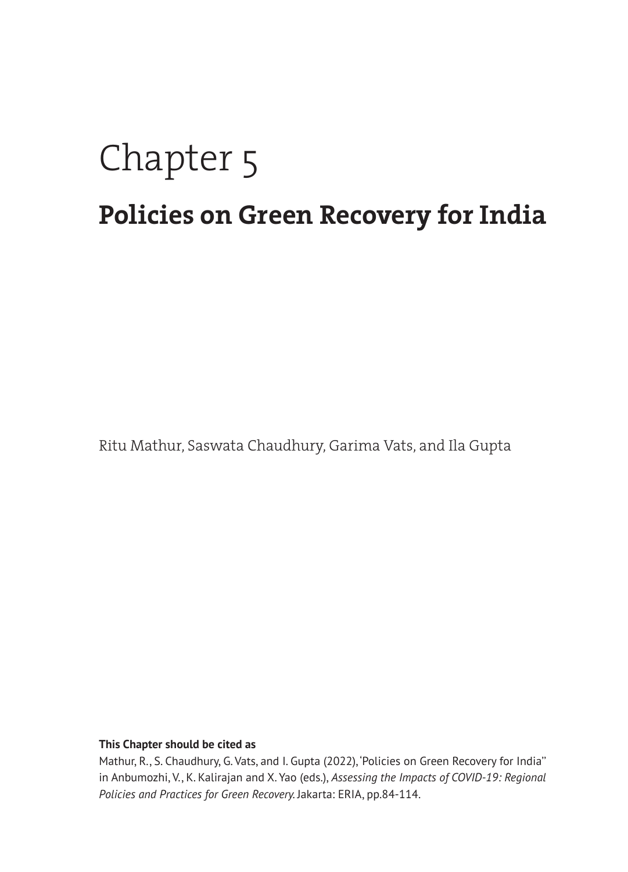# Chapter 5 **Policies on Green Recovery for India**

Ritu Mathur, Saswata Chaudhury, Garima Vats, and Ila Gupta

#### **This Chapter should be cited as**

Mathur, R., S. Chaudhury, G. Vats, and I. Gupta (2022), 'Policies on Green Recovery for India'' in Anbumozhi, V., K. Kalirajan and X. Yao (eds.), *Assessing the Impacts of COVID-19: Regional Policies and Practices for Green Recovery.* Jakarta: ERIA, pp.84-114.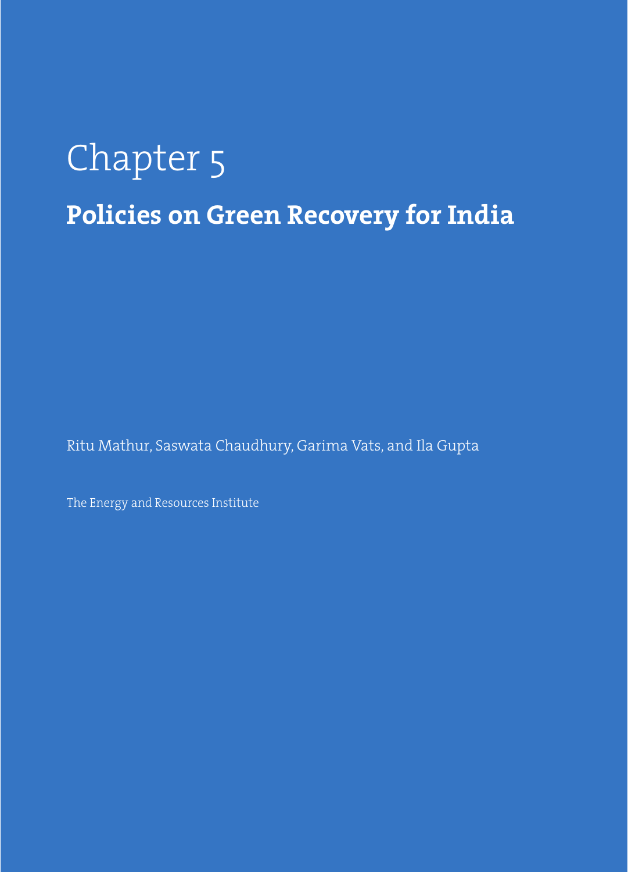# Chapter 5 **Policies on Green Recovery for India**

Ritu Mathur, Saswata Chaudhury, Garima Vats, and Ila Gupta

The Energy and Resources Institute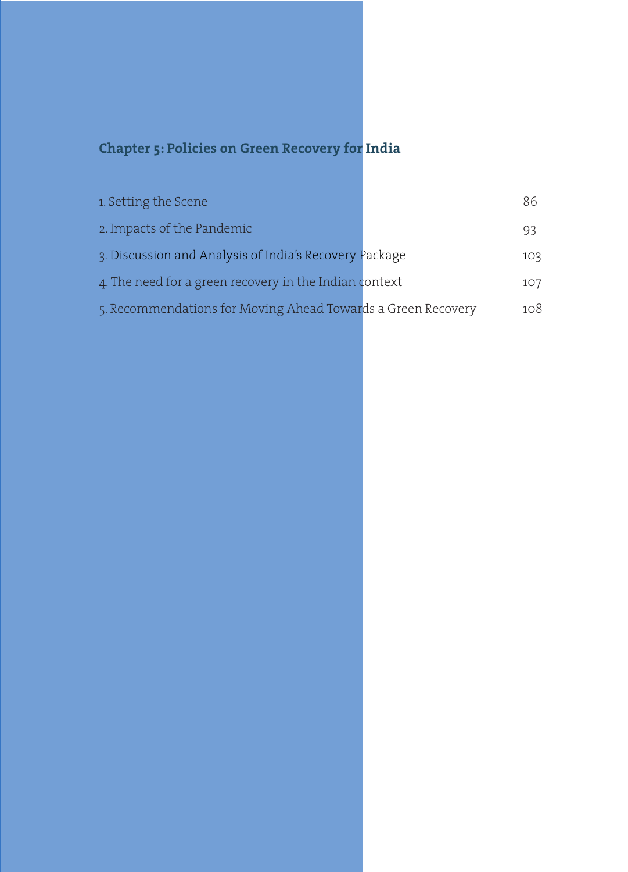### **Chapter 5: Policies on Green Recovery for India**

| 1. Setting the Scene                                         | 86  |
|--------------------------------------------------------------|-----|
| 2. Impacts of the Pandemic                                   | 93  |
| 3. Discussion and Analysis of India's Recovery Package       | 103 |
| 4. The need for a green recovery in the Indian context       | 107 |
| 5. Recommendations for Moving Ahead Towards a Green Recovery | 108 |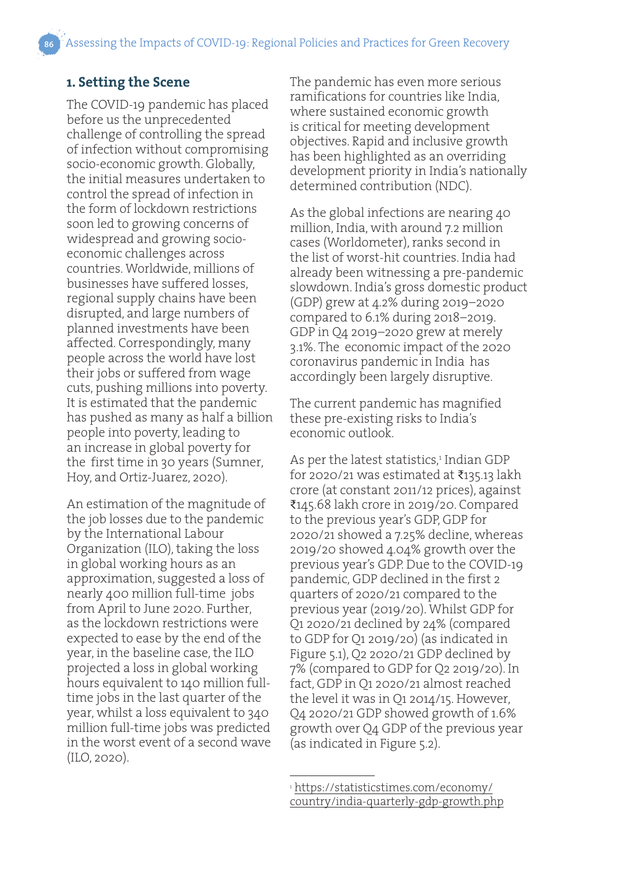#### **1. Setting the Scene**

The COVID-19 pandemic has placed before us the unprecedented challenge of controlling the spread of infection without compromising socio-economic growth. Globally, the initial measures undertaken to control the spread of infection in the form of lockdown restrictions soon led to growing concerns of widespread and growing socioeconomic challenges across countries. Worldwide, millions of businesses have suffered losses, regional supply chains have been disrupted, and large numbers of planned investments have been affected. Correspondingly, many people across the world have lost their jobs or suffered from wage cuts, pushing millions into poverty. It is estimated that the pandemic has pushed as many as half a billion people into poverty, leading to an increase in global poverty for the first time in 30 years (Sumner, Hoy, and Ortiz-Juarez, 2020).

An estimation of the magnitude of the job losses due to the pandemic by the International Labour Organization (ILO), taking the loss in global working hours as an approximation, suggested a loss of nearly 400 million full-time jobs from April to June 2020. Further, as the lockdown restrictions were expected to ease by the end of the year, in the baseline case, the ILO projected a loss in global working hours equivalent to 140 million fulltime jobs in the last quarter of the year, whilst a loss equivalent to 340 million full-time jobs was predicted in the worst event of a second wave (ILO, 2020).

The pandemic has even more serious ramifications for countries like India, where sustained economic growth is critical for meeting development objectives. Rapid and inclusive growth has been highlighted as an overriding development priority in India's nationally determined contribution (NDC).

As the global infections are nearing 40 million, India, with around 7.2 million cases (Worldometer), ranks second in the list of worst-hit countries. India had already been witnessing a pre-pandemic slowdown. India's gross domestic product (GDP) grew at 4.2% during 2019–2020 compared to 6.1% during 2018–2019. GDP in Q4 2019–2020 grew at merely 3.1%. The economic impact of the 2020 coronavirus pandemic in India has accordingly been largely disruptive.

The current pandemic has magnified these pre-existing risks to India's economic outlook.

As per the latest statistics,<sup>1</sup> Indian GDP for 2020/21 was estimated at  $\bar{\tau}$ 135.13 lakh crore (at constant 2011/12 prices), against ₹145.68 lakh crore in 2019/20. Compared to the previous year's GDP, GDP for 2020/21 showed a 7.25% decline, whereas 2019/20 showed 4.04% growth over the previous year's GDP. Due to the COVID-19 pandemic, GDP declined in the first 2 quarters of 2020/21 compared to the previous year (2019/20). Whilst GDP for Q1 2020/21 declined by 24% (compared to GDP for Q1 2019/20) (as indicated in Figure 5.1), Q2 2020/21 GDP declined by 7% (compared to GDP for Q2 2019/20). In fact, GDP in Q1 2020/21 almost reached the level it was in Q1 2014/15. However, Q4 2020/21 GDP showed growth of 1.6% growth over Q4 GDP of the previous year (as indicated in Figure 5.2).

<sup>1</sup> https://statisticstimes.com/economy/ country/india-quarterly-gdp-growth.php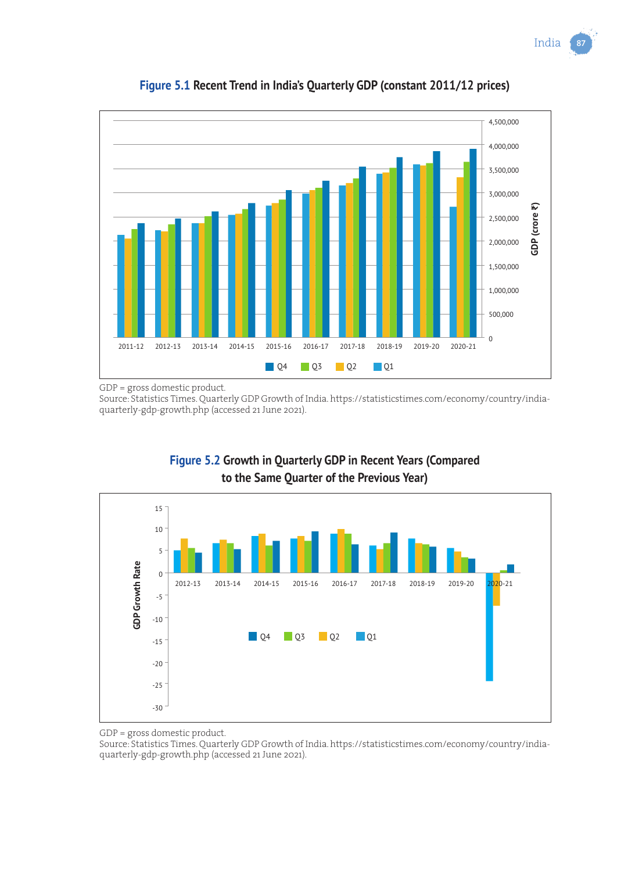India 87





GDP = gross domestic product.

Source: Statistics Times. Quarterly GDP Growth of India. https://statisticstimes.com/economy/country/indiaquarterly-gdp-growth.php (accessed 21 June 2021).



#### **Figure 5.2 Growth in Quarterly GDP in Recent Years (Compared to the Same Quarter of the Previous Year)**

GDP = gross domestic product.

Source: Statistics Times. Quarterly GDP Growth of India. https://statisticstimes.com/economy/country/indiaquarterly-gdp-growth.php (accessed 21 June 2021).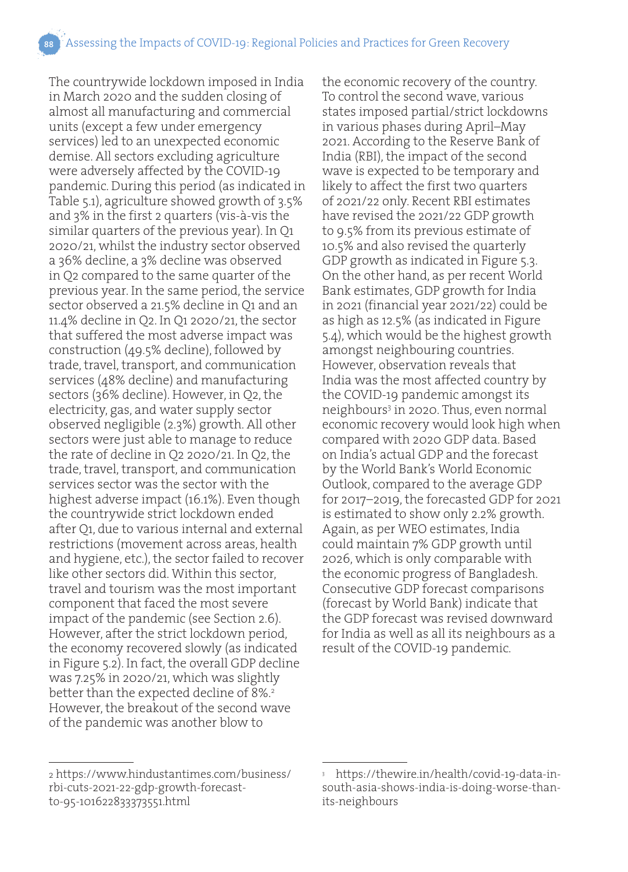The countrywide lockdown imposed in India in March 2020 and the sudden closing of almost all manufacturing and commercial units (except a few under emergency services) led to an unexpected economic demise. All sectors excluding agriculture were adversely affected by the COVID-19 pandemic. During this period (as indicated in Table 5.1), agriculture showed growth of 3.5% and 3% in the first 2 quarters (vis-à-vis the similar quarters of the previous year). In Q1 2020/21, whilst the industry sector observed a 36% decline, a 3% decline was observed in Q2 compared to the same quarter of the previous year. In the same period, the service sector observed a 21.5% decline in Q1 and an 11.4% decline in Q2. In Q1 2020/21, the sector that suffered the most adverse impact was construction (49.5% decline), followed by trade, travel, transport, and communication services (48% decline) and manufacturing sectors (36% decline). However, in Q2, the electricity, gas, and water supply sector observed negligible (2.3%) growth. All other sectors were just able to manage to reduce the rate of decline in Q2 2020/21. In Q2, the trade, travel, transport, and communication services sector was the sector with the highest adverse impact (16.1%). Even though the countrywide strict lockdown ended after Q1, due to various internal and external restrictions (movement across areas, health and hygiene, etc.), the sector failed to recover like other sectors did. Within this sector, travel and tourism was the most important component that faced the most severe impact of the pandemic (see Section 2.6). However, after the strict lockdown period, the economy recovered slowly (as indicated in Figure 5.2). In fact, the overall GDP decline was 7.25% in 2020/21, which was slightly better than the expected decline of 8%.<sup>2</sup> However, the breakout of the second wave of the pandemic was another blow to

the economic recovery of the country. To control the second wave, various states imposed partial/strict lockdowns in various phases during April–May 2021. According to the Reserve Bank of India (RBI), the impact of the second wave is expected to be temporary and likely to affect the first two quarters of 2021/22 only. Recent RBI estimates have revised the 2021/22 GDP growth to 9.5% from its previous estimate of 10.5% and also revised the quarterly GDP growth as indicated in Figure 5.3. On the other hand, as per recent World Bank estimates, GDP growth for India in 2021 (financial year 2021/22) could be as high as 12.5% (as indicated in Figure 5.4), which would be the highest growth amongst neighbouring countries. However, observation reveals that India was the most affected country by the COVID-19 pandemic amongst its neighbours<sup>3</sup> in 2020. Thus, even normal economic recovery would look high when compared with 2020 GDP data. Based on India's actual GDP and the forecast by the World Bank's World Economic Outlook, compared to the average GDP for 2017–2019, the forecasted GDP for 2021 is estimated to show only 2.2% growth. Again, as per WEO estimates, India could maintain 7% GDP growth until 2026, which is only comparable with the economic progress of Bangladesh. Consecutive GDP forecast comparisons (forecast by World Bank) indicate that the GDP forecast was revised downward for India as well as all its neighbours as a result of the COVID-19 pandemic.

<sup>2</sup> https://www.hindustantimes.com/business/ rbi-cuts-2021-22-gdp-growth-forecastto-95-101622833373551.html

<sup>3</sup> https://thewire.in/health/covid-19-data-insouth-asia-shows-india-is-doing-worse-thanits-neighbours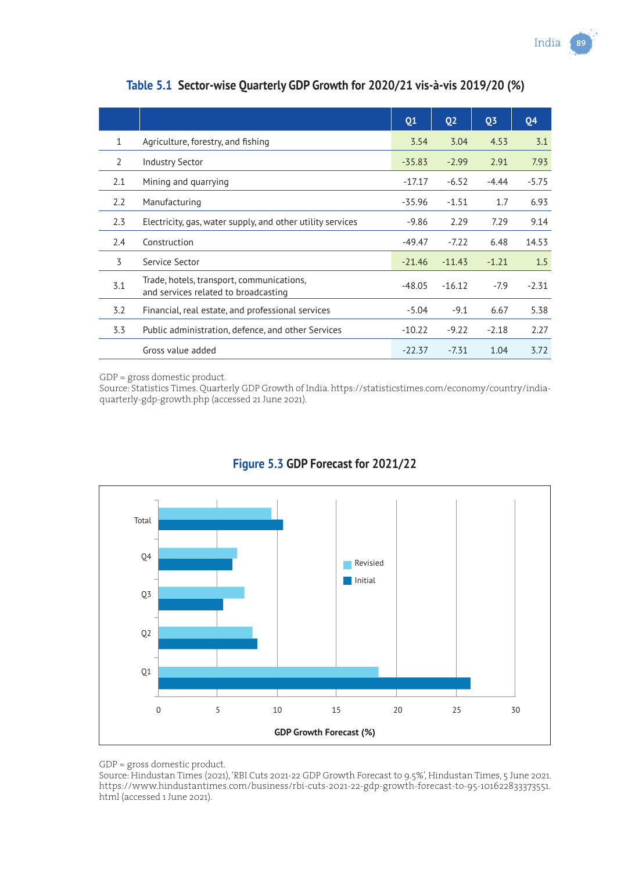|              |                                                                                   | Q <sub>1</sub> | <b>Q2</b> | <b>Q3</b> | <b>Q4</b> |
|--------------|-----------------------------------------------------------------------------------|----------------|-----------|-----------|-----------|
| $\mathbf{1}$ | Agriculture, forestry, and fishing                                                | 3.54           | 3.04      | 4.53      | 3.1       |
| 2            | <b>Industry Sector</b>                                                            | $-35.83$       | $-2.99$   | 2.91      | 7.93      |
| 2.1          | Mining and quarrying                                                              | $-17.17$       | $-6.52$   | $-4.44$   | $-5.75$   |
| 2.2          | Manufacturing                                                                     | $-35.96$       | $-1.51$   | 1.7       | 6.93      |
| 2.3          | Electricity, gas, water supply, and other utility services                        | $-9.86$        | 2.29      | 7.29      | 9.14      |
| 2.4          | Construction                                                                      | $-49.47$       | $-7.22$   | 6.48      | 14.53     |
| 3            | Service Sector                                                                    | $-21.46$       | $-11.43$  | $-1.21$   | 1.5       |
| 3.1          | Trade, hotels, transport, communications,<br>and services related to broadcasting | $-48.05$       | $-16.12$  | $-7.9$    | $-2.31$   |
| 3.2          | Financial, real estate, and professional services                                 | $-5.04$        | $-9.1$    | 6.67      | 5.38      |
| 3.3          | Public administration, defence, and other Services                                | $-10.22$       | $-9.22$   | $-2.18$   | 2.27      |
|              | Gross value added                                                                 | $-22.37$       | $-7.31$   | 1.04      | 3.72      |

**Table 5.1 Sector-wise Quarterly GDP Growth for 2020/21 vis-à-vis 2019/20 (%)**

GDP = gross domestic product.

Source: Statistics Times. Quarterly GDP Growth of India. https://statisticstimes.com/economy/country/indiaquarterly-gdp-growth.php (accessed 21 June 2021).



#### **Figure 5.3 GDP Forecast for 2021/22**

GDP = gross domestic product.

Source: Hindustan Times (2021), 'RBI Cuts 2021-22 GDP Growth Forecast to 9.5%', Hindustan Times, 5 June 2021. https://www.hindustantimes.com/business/rbi-cuts-2021-22-gdp-growth-forecast-to-95-101622833373551. html (accessed 1 June 2021).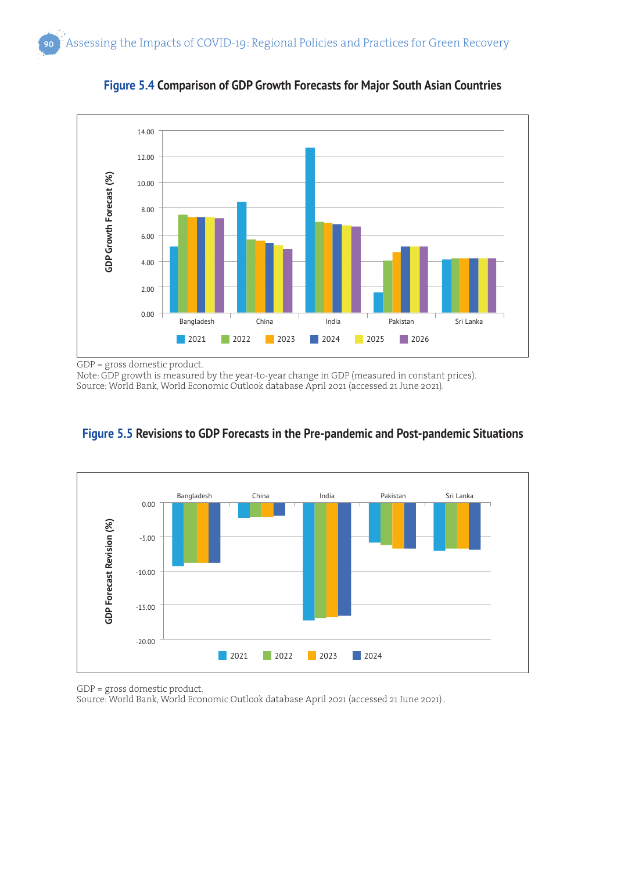

**Figure 5.4 Comparison of GDP Growth Forecasts for Major South Asian Countries**

GDP = gross domestic product.

Note: GDP growth is measured by the year-to-year change in GDP (measured in constant prices). Source: World Bank, World Economic Outlook database April 2021 (accessed 21 June 2021).



**Figure 5.5 Revisions to GDP Forecasts in the Pre-pandemic and Post-pandemic Situations**

GDP = gross domestic product.

Source: World Bank, World Economic Outlook database April 2021 (accessed 21 June 2021)..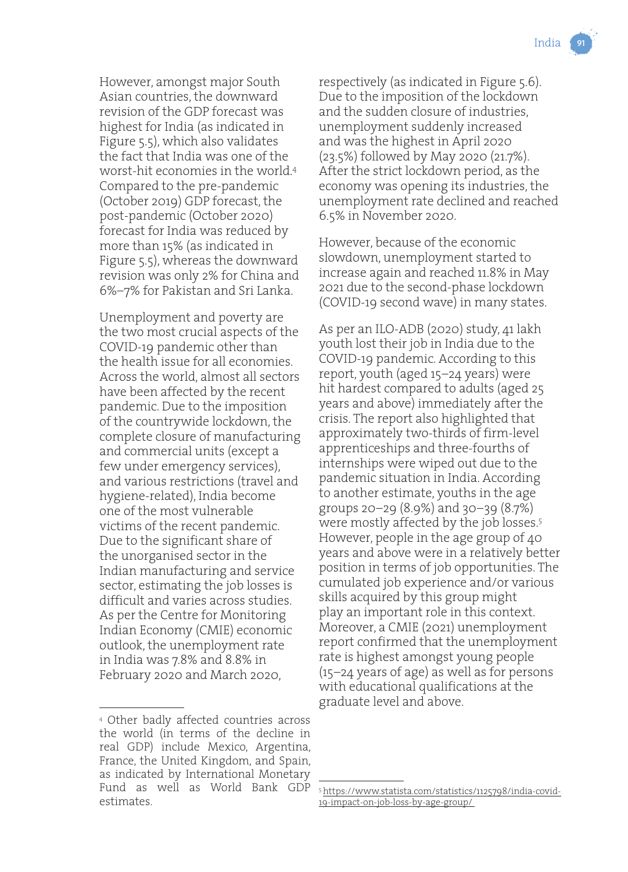However, amongst major South Asian countries, the downward revision of the GDP forecast was highest for India (as indicated in Figure 5.5), which also validates the fact that India was one of the worst-hit economies in the world.4 Compared to the pre-pandemic (October 2019) GDP forecast, the post-pandemic (October 2020) forecast for India was reduced by more than 15% (as indicated in Figure 5.5), whereas the downward revision was only 2% for China and 6%–7% for Pakistan and Sri Lanka.

Unemployment and poverty are the two most crucial aspects of the COVID-19 pandemic other than the health issue for all economies. Across the world, almost all sectors have been affected by the recent pandemic. Due to the imposition of the countrywide lockdown, the complete closure of manufacturing and commercial units (except a few under emergency services), and various restrictions (travel and hygiene-related), India become one of the most vulnerable victims of the recent pandemic. Due to the significant share of the unorganised sector in the Indian manufacturing and service sector, estimating the job losses is difficult and varies across studies. As per the Centre for Monitoring Indian Economy (CMIE) economic outlook, the unemployment rate in India was 7.8% and 8.8% in February 2020 and March 2020,

4 Other badly affected countries across the world (in terms of the decline in real GDP) include Mexico, Argentina, France, the United Kingdom, and Spain, as indicated by International Monetary Fund as well as World Bank GDP estimates.

respectively (as indicated in Figure 5.6). Due to the imposition of the lockdown and the sudden closure of industries, unemployment suddenly increased and was the highest in April 2020 (23.5%) followed by May 2020 (21.7%). After the strict lockdown period, as the economy was opening its industries, the unemployment rate declined and reached 6.5% in November 2020.

However, because of the economic slowdown, unemployment started to increase again and reached 11.8% in May 2021 due to the second-phase lockdown (COVID-19 second wave) in many states.

As per an ILO-ADB (2020) study, 41 lakh youth lost their job in India due to the COVID-19 pandemic. According to this report, youth (aged 15–24 years) were hit hardest compared to adults (aged 25 years and above) immediately after the crisis. The report also highlighted that approximately two-thirds of firm-level apprenticeships and three-fourths of internships were wiped out due to the pandemic situation in India. According to another estimate, youths in the age groups 20–29 (8.9%) and 30–39 (8.7%) were mostly affected by the job losses.5 However, people in the age group of 40 years and above were in a relatively better position in terms of job opportunities. The cumulated job experience and/or various skills acquired by this group might play an important role in this context. Moreover, a CMIE (2021) unemployment report confirmed that the unemployment rate is highest amongst young people (15–24 years of age) as well as for persons with educational qualifications at the graduate level and above.

<sup>5</sup> https://www.statista.com/statistics/1125798/india-covid-19-impact-on-job-loss-by-age-group/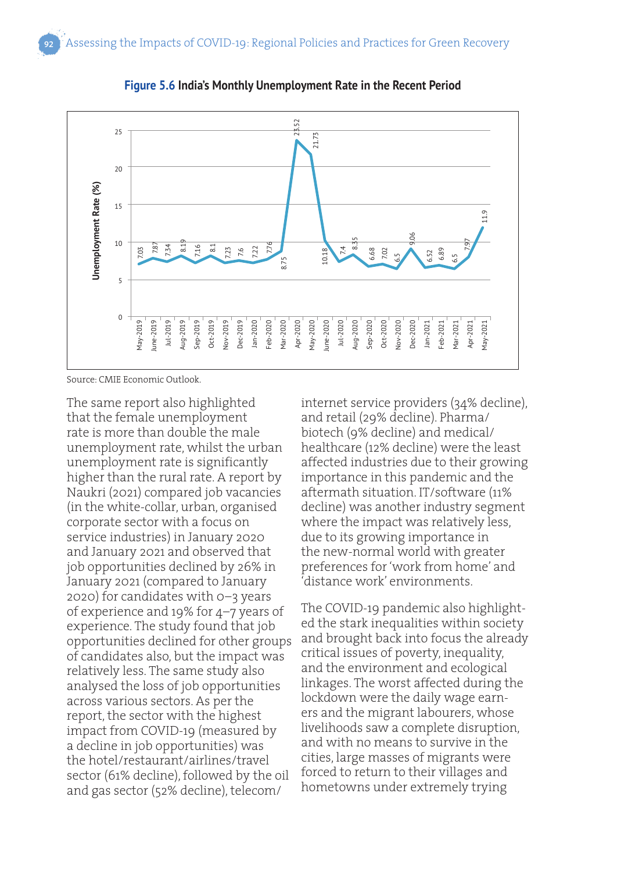

**Figure 5.6 India's Monthly Unemployment Rate in the Recent Period**

Source: CMIE Economic Outlook.

The same report also highlighted that the female unemployment rate is more than double the male unemployment rate, whilst the urban unemployment rate is significantly higher than the rural rate. A report by Naukri (2021) compared job vacancies (in the white-collar, urban, organised corporate sector with a focus on service industries) in January 2020 and January 2021 and observed that job opportunities declined by 26% in January 2021 (compared to January 2020) for candidates with 0–3 years of experience and 19% for 4–7 years of experience. The study found that job opportunities declined for other groups of candidates also, but the impact was relatively less. The same study also analysed the loss of job opportunities across various sectors. As per the report, the sector with the highest impact from COVID-19 (measured by a decline in job opportunities) was the hotel/restaurant/airlines/travel sector (61% decline), followed by the oil and gas sector (52% decline), telecom/

internet service providers (34% decline), and retail (29% decline). Pharma/ biotech (9% decline) and medical/ healthcare (12% decline) were the least affected industries due to their growing importance in this pandemic and the aftermath situation. IT/software (11% decline) was another industry segment where the impact was relatively less, due to its growing importance in the new-normal world with greater preferences for 'work from home' and 'distance work' environments.

The COVID-19 pandemic also highlighted the stark inequalities within society and brought back into focus the already critical issues of poverty, inequality, and the environment and ecological linkages. The worst affected during the lockdown were the daily wage earners and the migrant labourers, whose livelihoods saw a complete disruption, and with no means to survive in the cities, large masses of migrants were forced to return to their villages and hometowns under extremely trying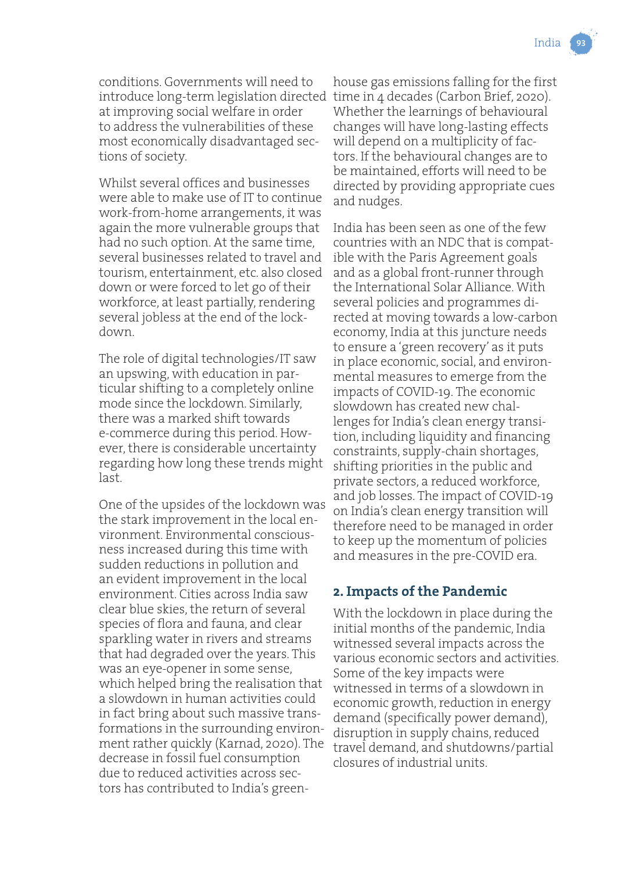conditions. Governments will need to introduce long-term legislation directed time in 4 decades (Carbon Brief, 2020). at improving social welfare in order to address the vulnerabilities of these most economically disadvantaged sections of society.

Whilst several offices and businesses were able to make use of IT to continue work-from-home arrangements, it was again the more vulnerable groups that had no such option. At the same time, several businesses related to travel and tourism, entertainment, etc. also closed down or were forced to let go of their workforce, at least partially, rendering several jobless at the end of the lockdown.

The role of digital technologies/IT saw an upswing, with education in particular shifting to a completely online mode since the lockdown. Similarly, there was a marked shift towards e-commerce during this period. However, there is considerable uncertainty regarding how long these trends might last.

One of the upsides of the lockdown was the stark improvement in the local environment. Environmental consciousness increased during this time with sudden reductions in pollution and an evident improvement in the local environment. Cities across India saw clear blue skies, the return of several species of flora and fauna, and clear sparkling water in rivers and streams that had degraded over the years. This was an eye-opener in some sense, which helped bring the realisation that a slowdown in human activities could in fact bring about such massive transformations in the surrounding environment rather quickly (Karnad, 2020). The decrease in fossil fuel consumption due to reduced activities across sectors has contributed to India's greenhouse gas emissions falling for the first Whether the learnings of behavioural changes will have long-lasting effects will depend on a multiplicity of factors. If the behavioural changes are to be maintained, efforts will need to be directed by providing appropriate cues and nudges.

India has been seen as one of the few countries with an NDC that is compatible with the Paris Agreement goals and as a global front-runner through the International Solar Alliance. With several policies and programmes directed at moving towards a low-carbon economy, India at this juncture needs to ensure a 'green recovery' as it puts in place economic, social, and environmental measures to emerge from the impacts of COVID-19. The economic slowdown has created new challenges for India's clean energy transition, including liquidity and financing constraints, supply-chain shortages, shifting priorities in the public and private sectors, a reduced workforce, and job losses. The impact of COVID-19 on India's clean energy transition will therefore need to be managed in order to keep up the momentum of policies and measures in the pre-COVID era.

#### **2. Impacts of the Pandemic**

With the lockdown in place during the initial months of the pandemic, India witnessed several impacts across the various economic sectors and activities. Some of the key impacts were witnessed in terms of a slowdown in economic growth, reduction in energy demand (specifically power demand), disruption in supply chains, reduced travel demand, and shutdowns/partial closures of industrial units.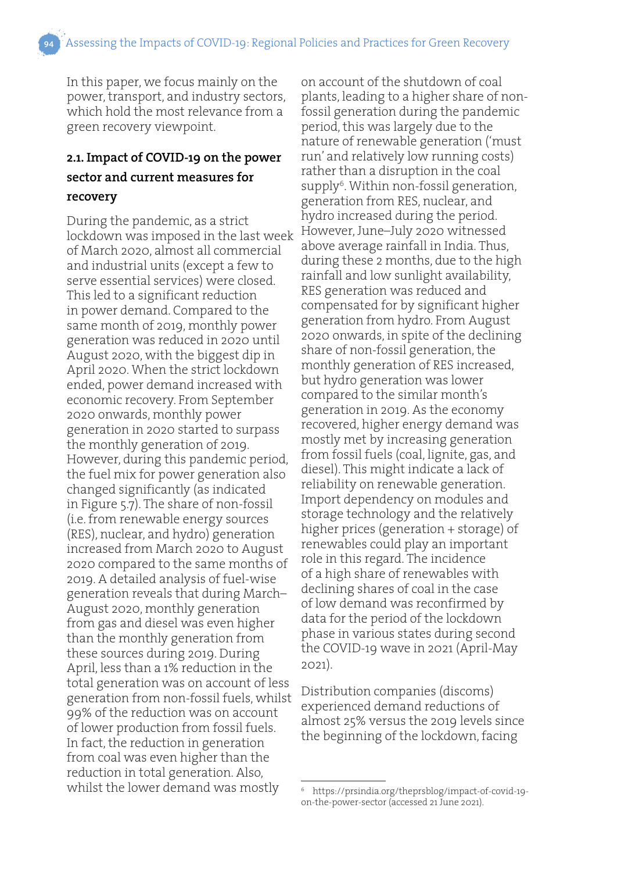In this paper, we focus mainly on the power, transport, and industry sectors, which hold the most relevance from a green recovery viewpoint.

#### **2.1. Impact of COVID-19 on the power sector and current measures for recovery**

During the pandemic, as a strict lockdown was imposed in the last week of March 2020, almost all commercial and industrial units (except a few to serve essential services) were closed. This led to a significant reduction in power demand. Compared to the same month of 2019, monthly power generation was reduced in 2020 until August 2020, with the biggest dip in April 2020. When the strict lockdown ended, power demand increased with economic recovery. From September 2020 onwards, monthly power generation in 2020 started to surpass the monthly generation of 2019. However, during this pandemic period, the fuel mix for power generation also changed significantly (as indicated in Figure 5.7). The share of non-fossil (i.e. from renewable energy sources (RES), nuclear, and hydro) generation increased from March 2020 to August 2020 compared to the same months of 2019. A detailed analysis of fuel-wise generation reveals that during March– August 2020, monthly generation from gas and diesel was even higher than the monthly generation from these sources during 2019. During April, less than a 1% reduction in the total generation was on account of less generation from non-fossil fuels, whilst 99% of the reduction was on account of lower production from fossil fuels. In fact, the reduction in generation from coal was even higher than the reduction in total generation. Also, whilst the lower demand was mostly

on account of the shutdown of coal plants, leading to a higher share of nonfossil generation during the pandemic period, this was largely due to the nature of renewable generation ('must run' and relatively low running costs) rather than a disruption in the coal supply<sup>6</sup>. Within non-fossil generation, generation from RES, nuclear, and hydro increased during the period. However, June–July 2020 witnessed above average rainfall in India. Thus, during these 2 months, due to the high rainfall and low sunlight availability, RES generation was reduced and compensated for by significant higher generation from hydro. From August 2020 onwards, in spite of the declining share of non-fossil generation, the monthly generation of RES increased, but hydro generation was lower compared to the similar month's generation in 2019. As the economy recovered, higher energy demand was mostly met by increasing generation from fossil fuels (coal, lignite, gas, and diesel). This might indicate a lack of reliability on renewable generation. Import dependency on modules and storage technology and the relatively higher prices (generation + storage) of renewables could play an important role in this regard. The incidence of a high share of renewables with declining shares of coal in the case of low demand was reconfirmed by data for the period of the lockdown phase in various states during second the COVID-19 wave in 2021 (April-May 2021).

Distribution companies (discoms) experienced demand reductions of almost 25% versus the 2019 levels since the beginning of the lockdown, facing

<sup>6</sup> https://prsindia.org/theprsblog/impact-of-covid-19 on-the-power-sector (accessed 21 June 2021).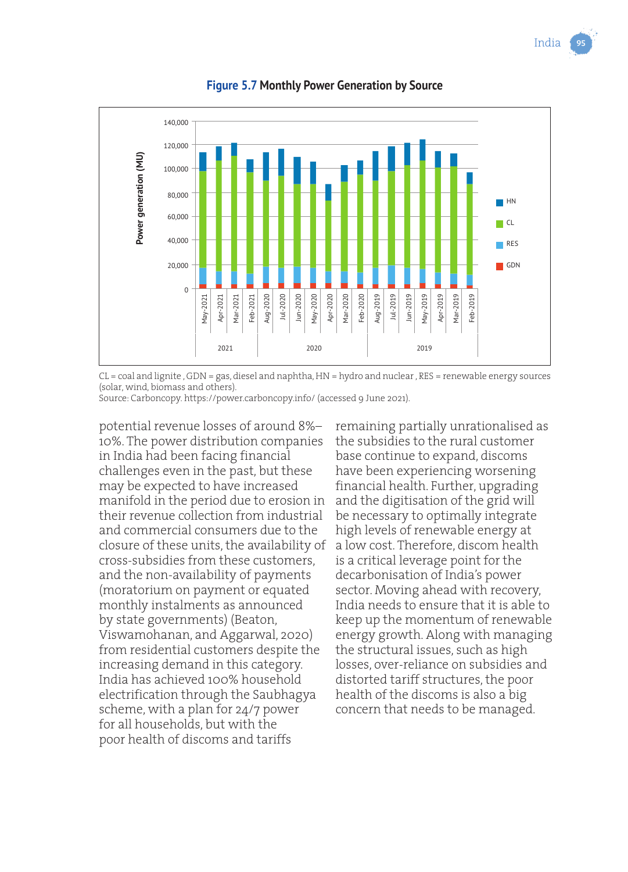India



**Figure 5.7 Monthly Power Generation by Source**

CL = coal and lignite , GDN = gas, diesel and naphtha, HN = hydro and nuclear , RES = renewable energy sources (solar, wind, biomass and others).

Source: Carboncopy. https://power.carboncopy.info/ (accessed 9 June 2021).

potential revenue losses of around 8%– 10%. The power distribution companies in India had been facing financial challenges even in the past, but these may be expected to have increased manifold in the period due to erosion in their revenue collection from industrial and commercial consumers due to the closure of these units, the availability of cross-subsidies from these customers, and the non-availability of payments (moratorium on payment or equated monthly instalments as announced by state governments) (Beaton, Viswamohanan, and Aggarwal, 2020) from residential customers despite the increasing demand in this category. India has achieved 100% household electrification through the Saubhagya scheme, with a plan for 24/7 power for all households, but with the poor health of discoms and tariffs

remaining partially unrationalised as the subsidies to the rural customer base continue to expand, discoms have been experiencing worsening financial health. Further, upgrading and the digitisation of the grid will be necessary to optimally integrate high levels of renewable energy at a low cost. Therefore, discom health is a critical leverage point for the decarbonisation of India's power sector. Moving ahead with recovery, India needs to ensure that it is able to keep up the momentum of renewable energy growth. Along with managing the structural issues, such as high losses, over-reliance on subsidies and distorted tariff structures, the poor health of the discoms is also a big concern that needs to be managed.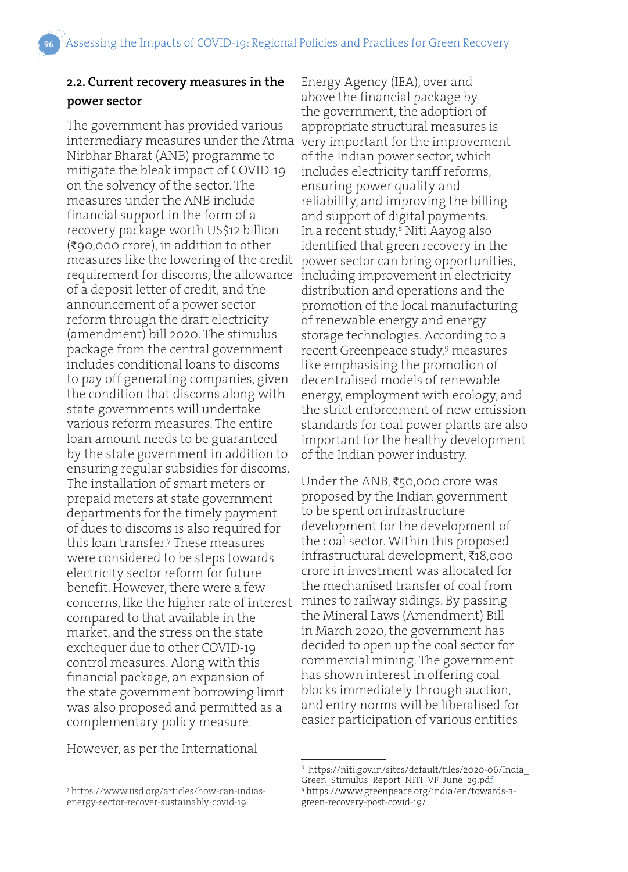### **2.2. Current recovery measures in the**

#### **power sector**

The government has provided various intermediary measures under the Atma Nirbhar Bharat (ANB) programme to mitigate the bleak impact of COVID-19 on the solvency of the sector. The measures under the ANB include financial support in the form of a recovery package worth US\$12 billion (₹90,000 crore), in addition to other measures like the lowering of the credit requirement for discoms, the allowance of a deposit letter of credit, and the announcement of a power sector reform through the draft electricity (amendment) bill 2020. The stimulus package from the central government includes conditional loans to discoms to pay off generating companies, given the condition that discoms along with state governments will undertake various reform measures. The entire loan amount needs to be guaranteed by the state government in addition to ensuring regular subsidies for discoms. The installation of smart meters or prepaid meters at state government departments for the timely payment of dues to discoms is also required for this loan transfer.7 These measures were considered to be steps towards electricity sector reform for future benefit. However, there were a few concerns, like the higher rate of interest compared to that available in the market, and the stress on the state exchequer due to other COVID-19 control measures. Along with this financial package, an expansion of the state government borrowing limit was also proposed and permitted as a complementary policy measure.

However, as per the International

Energy Agency (IEA), over and above the financial package by the government, the adoption of appropriate structural measures is very important for the improvement of the Indian power sector, which includes electricity tariff reforms, ensuring power quality and reliability, and improving the billing and support of digital payments. In a recent study,<sup>8</sup> Niti Aayog also identified that green recovery in the power sector can bring opportunities, including improvement in electricity distribution and operations and the promotion of the local manufacturing of renewable energy and energy storage technologies. According to a recent Greenpeace study,<sup>9</sup> measures like emphasising the promotion of decentralised models of renewable energy, employment with ecology, and the strict enforcement of new emission standards for coal power plants are also important for the healthy development of the Indian power industry.

Under the ANB, ₹50,000 crore was proposed by the Indian government to be spent on infrastructure development for the development of the coal sector. Within this proposed infrastructural development, ₹18,000 crore in investment was allocated for the mechanised transfer of coal from mines to railway sidings. By passing the Mineral Laws (Amendment) Bill in March 2020, the government has decided to open up the coal sector for commercial mining. The government has shown interest in offering coal blocks immediately through auction, and entry norms will be liberalised for easier participation of various entities

<sup>8</sup> https://niti.gov.in/sites/default/files/2020-06/India\_ Green Stimulus Report NITI VF June 29.pdf <sup>9</sup> https://www.greenpeace.org/india/en/towards-agreen-recovery-post-covid-19/

<sup>7</sup> https://www.iisd.org/articles/how-can-indiasenergy-sector-recover-sustainably-covid-19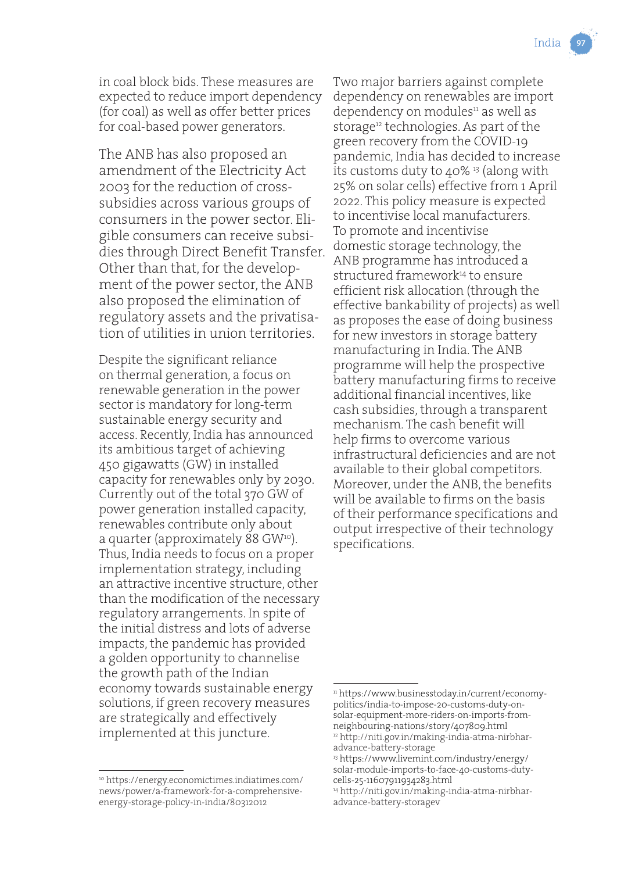in coal block bids. These measures are expected to reduce import dependency (for coal) as well as offer better prices for coal-based power generators.

The ANB has also proposed an amendment of the Electricity Act 2003 for the reduction of crosssubsidies across various groups of consumers in the power sector. Eligible consumers can receive subsidies through Direct Benefit Transfer. Other than that, for the development of the power sector, the ANB also proposed the elimination of regulatory assets and the privatisation of utilities in union territories.

Despite the significant reliance on thermal generation, a focus on renewable generation in the power sector is mandatory for long-term sustainable energy security and access. Recently, India has announced its ambitious target of achieving 450 gigawatts (GW) in installed capacity for renewables only by 2030. Currently out of the total 370 GW of power generation installed capacity, renewables contribute only about a quarter (approximately 88 GW<sup>10</sup>). Thus, India needs to focus on a proper implementation strategy, including an attractive incentive structure, other than the modification of the necessary regulatory arrangements. In spite of the initial distress and lots of adverse impacts, the pandemic has provided a golden opportunity to channelise the growth path of the Indian economy towards sustainable energy solutions, if green recovery measures are strategically and effectively implemented at this juncture.

<sup>10</sup> https://energy.economictimes.indiatimes.com/ news/power/a-framework-for-a-comprehensiveenergy-storage-policy-in-india/80312012

Two major barriers against complete dependency on renewables are import dependency on modules<sup>11</sup> as well as storage<sup>12</sup> technologies. As part of the green recovery from the COVID-19 pandemic, India has decided to increase its customs duty to  $40\%$  <sup>13</sup> (along with 25% on solar cells) effective from 1 April 2022. This policy measure is expected to incentivise local manufacturers. To promote and incentivise domestic storage technology, the ANB programme has introduced a structured framework<sup>14</sup> to ensure efficient risk allocation (through the effective bankability of projects) as well as proposes the ease of doing business for new investors in storage battery manufacturing in India. The ANB programme will help the prospective battery manufacturing firms to receive additional financial incentives, like cash subsidies, through a transparent mechanism. The cash benefit will help firms to overcome various infrastructural deficiencies and are not available to their global competitors. Moreover, under the ANB, the benefits will be available to firms on the basis of their performance specifications and output irrespective of their technology specifications.

<sup>11</sup> https://www.businesstoday.in/current/economypolitics/india-to-impose-20-customs-duty-onsolar-equipment-more-riders-on-imports-fromneighbouring-nations/story/407809.html

<sup>12</sup> http://niti.gov.in/making-india-atma-nirbharadvance-battery-storage

<sup>13</sup> https://www.livemint.com/industry/energy/ solar-module-imports-to-face-40-customs-dutycells-25-11607911934283.html

<sup>14</sup> http://niti.gov.in/making-india-atma-nirbharadvance-battery-storagev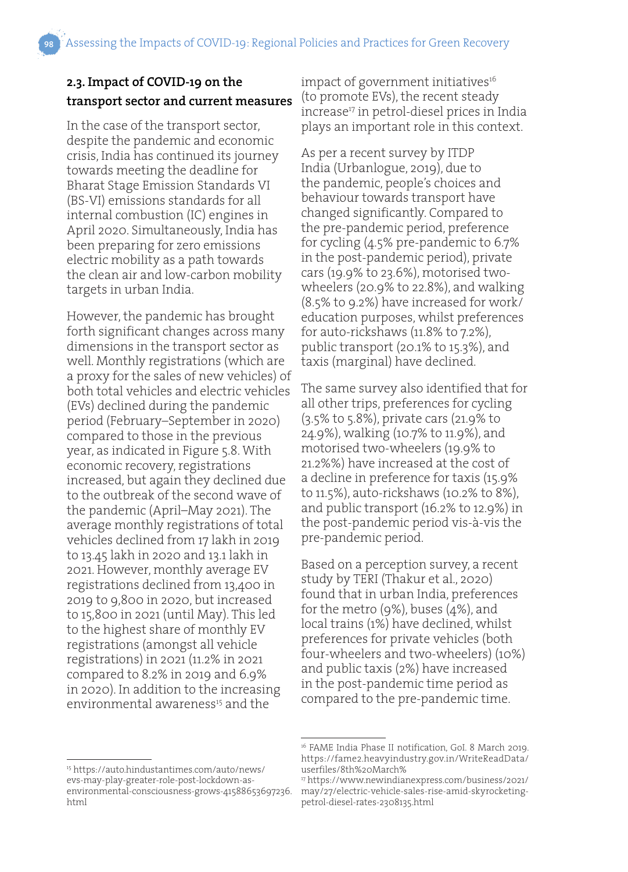#### **2.3. Impact of COVID-19 on the transport sector and current measures**

In the case of the transport sector, despite the pandemic and economic crisis, India has continued its journey towards meeting the deadline for Bharat Stage Emission Standards VI (BS-VI) emissions standards for all internal combustion (IC) engines in April 2020. Simultaneously, India has been preparing for zero emissions electric mobility as a path towards the clean air and low-carbon mobility targets in urban India.

However, the pandemic has brought forth significant changes across many dimensions in the transport sector as well. Monthly registrations (which are a proxy for the sales of new vehicles) of both total vehicles and electric vehicles (EVs) declined during the pandemic period (February–September in 2020) compared to those in the previous year, as indicated in Figure 5.8. With economic recovery, registrations increased, but again they declined due to the outbreak of the second wave of the pandemic (April–May 2021). The average monthly registrations of total vehicles declined from 17 lakh in 2019 to 13.45 lakh in 2020 and 13.1 lakh in 2021. However, monthly average EV registrations declined from 13,400 in 2019 to 9,800 in 2020, but increased to 15,800 in 2021 (until May). This led to the highest share of monthly EV registrations (amongst all vehicle registrations) in 2021 (11.2% in 2021 compared to 8.2% in 2019 and 6.9% in 2020). In addition to the increasing environmental awareness<sup>15</sup> and the

impact of government initiatives<sup>16</sup> (to promote EVs), the recent steady increase<sup>17</sup> in petrol-diesel prices in India plays an important role in this context.

As per a recent survey by ITDP India (Urbanlogue, 2019), due to the pandemic, people's choices and behaviour towards transport have changed significantly. Compared to the pre-pandemic period, preference for cycling (4.5% pre-pandemic to 6.7% in the post-pandemic period), private cars (19.9% to 23.6%), motorised twowheelers (20.9% to 22.8%), and walking (8.5% to 9.2%) have increased for work/ education purposes, whilst preferences for auto-rickshaws (11.8% to 7.2%), public transport (20.1% to 15.3%), and taxis (marginal) have declined.

The same survey also identified that for all other trips, preferences for cycling (3.5% to 5.8%), private cars (21.9% to 24.9%), walking (10.7% to 11.9%), and motorised two-wheelers (19.9% to 21.2%%) have increased at the cost of a decline in preference for taxis (15.9% to 11.5%), auto-rickshaws (10.2% to 8%), and public transport (16.2% to 12.9%) in the post-pandemic period vis-à-vis the pre-pandemic period.

Based on a perception survey, a recent study by TERI (Thakur et al., 2020) found that in urban India, preferences for the metro (9%), buses (4%), and local trains (1%) have declined, whilst preferences for private vehicles (both four-wheelers and two-wheelers) (10%) and public taxis (2%) have increased in the post-pandemic time period as compared to the pre-pandemic time.

<sup>15</sup> https://auto.hindustantimes.com/auto/news/ evs-may-play-greater-role-post-lockdown-asenvironmental-consciousness-grows-41588653697236. html

<sup>&</sup>lt;sup>16</sup> FAME India Phase II notification, GoI. 8 March 2019. https://fame2.heavyindustry.gov.in/WriteReadData/ userfiles/8th%20March%

<sup>17</sup> https://www.newindianexpress.com/business/2021/ may/27/electric-vehicle-sales-rise-amid-skyrocketingpetrol-diesel-rates-2308135.html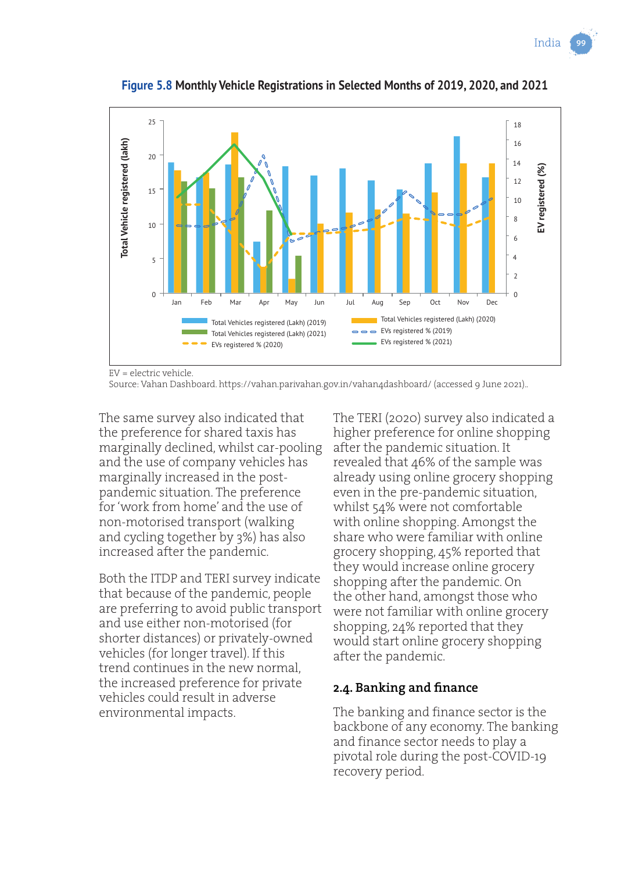India



**Figure 5.8 Monthly Vehicle Registrations in Selected Months of 2019, 2020, and 2021**

EV = electric vehicle.

Source: Vahan Dashboard. https://vahan.parivahan.gov.in/vahan4dashboard/ (accessed 9 June 2021)..

The same survey also indicated that the preference for shared taxis has marginally declined, whilst car-pooling and the use of company vehicles has marginally increased in the postpandemic situation. The preference for 'work from home' and the use of non-motorised transport (walking and cycling together by 3%) has also increased after the pandemic.

Both the ITDP and TERI survey indicate that because of the pandemic, people are preferring to avoid public transport and use either non-motorised (for shorter distances) or privately-owned vehicles (for longer travel). If this trend continues in the new normal, the increased preference for private vehicles could result in adverse environmental impacts.

The TERI (2020) survey also indicated a higher preference for online shopping after the pandemic situation. It revealed that 46% of the sample was already using online grocery shopping even in the pre-pandemic situation, whilst 54% were not comfortable with online shopping. Amongst the share who were familiar with online grocery shopping, 45% reported that they would increase online grocery shopping after the pandemic. On the other hand, amongst those who were not familiar with online grocery shopping, 24% reported that they would start online grocery shopping after the pandemic.

#### **2.4. Banking and finance**

The banking and finance sector is the backbone of any economy. The banking and finance sector needs to play a pivotal role during the post-COVID-19 recovery period.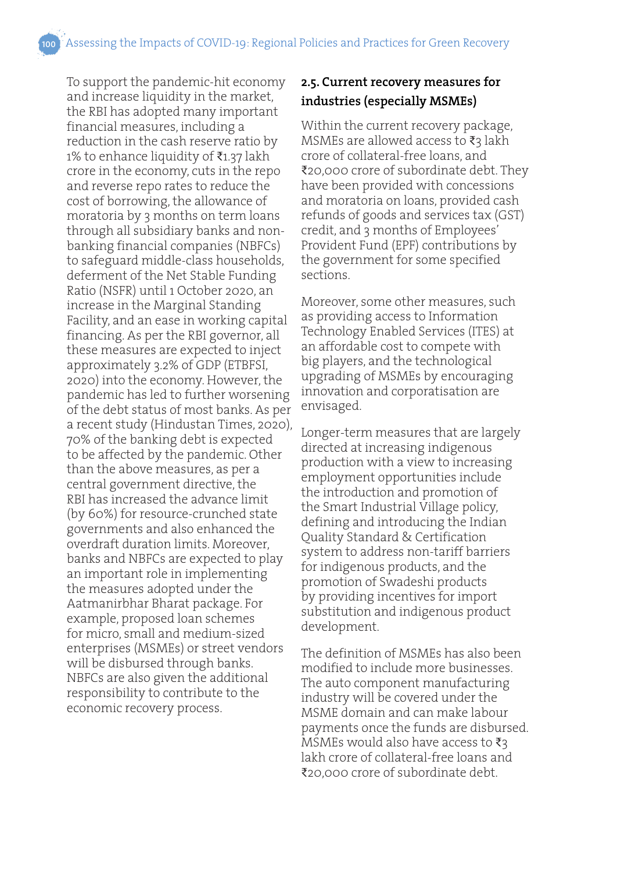To support the pandemic-hit economy and increase liquidity in the market, the RBI has adopted many important financial measures, including a reduction in the cash reserve ratio by 1% to enhance liquidity of ₹1.37 lakh crore in the economy, cuts in the repo and reverse repo rates to reduce the cost of borrowing, the allowance of moratoria by 3 months on term loans through all subsidiary banks and nonbanking financial companies (NBFCs) to safeguard middle-class households, deferment of the Net Stable Funding Ratio (NSFR) until 1 October 2020, an increase in the Marginal Standing Facility, and an ease in working capital financing. As per the RBI governor, all these measures are expected to inject approximately 3.2% of GDP (ETBFSI, 2020) into the economy. However, the pandemic has led to further worsening of the debt status of most banks. As per a recent study (Hindustan Times, 2020), 70% of the banking debt is expected to be affected by the pandemic. Other than the above measures, as per a central government directive, the RBI has increased the advance limit (by 60%) for resource-crunched state governments and also enhanced the overdraft duration limits. Moreover, banks and NBFCs are expected to play an important role in implementing the measures adopted under the Aatmanirbhar Bharat package. For example, proposed loan schemes for micro, small and medium-sized enterprises (MSMEs) or street vendors will be disbursed through banks. NBFCs are also given the additional responsibility to contribute to the economic recovery process.

#### **2.5. Current recovery measures for industries (especially MSMEs)**

Within the current recovery package, MSMEs are allowed access to ₹3 lakh crore of collateral-free loans, and ₹20,000 crore of subordinate debt. They have been provided with concessions and moratoria on loans, provided cash refunds of goods and services tax (GST) credit, and 3 months of Employees' Provident Fund (EPF) contributions by the government for some specified sections.

Moreover, some other measures, such as providing access to Information Technology Enabled Services (ITES) at an affordable cost to compete with big players, and the technological upgrading of MSMEs by encouraging innovation and corporatisation are envisaged.

Longer-term measures that are largely directed at increasing indigenous production with a view to increasing employment opportunities include the introduction and promotion of the Smart Industrial Village policy, defining and introducing the Indian Quality Standard & Certification system to address non-tariff barriers for indigenous products, and the promotion of Swadeshi products by providing incentives for import substitution and indigenous product development.

The definition of MSMEs has also been modified to include more businesses. The auto component manufacturing industry will be covered under the MSME domain and can make labour payments once the funds are disbursed. MSMEs would also have access to  $\bar{\mathfrak{z}}_3$ lakh crore of collateral-free loans and ₹20,000 crore of subordinate debt.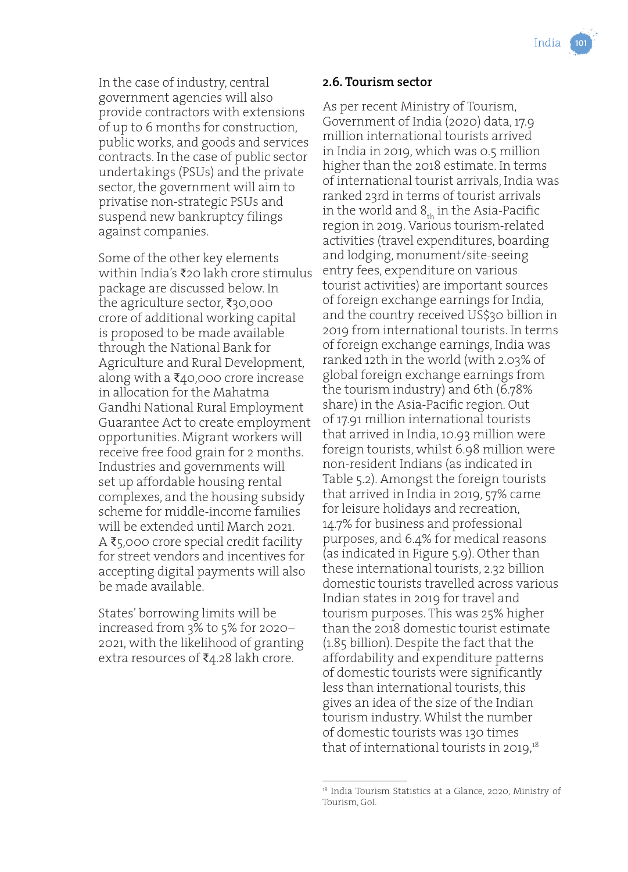In the case of industry, central government agencies will also provide contractors with extensions of up to 6 months for construction, public works, and goods and services contracts. In the case of public sector undertakings (PSUs) and the private sector, the government will aim to privatise non-strategic PSUs and suspend new bankruptcy filings against companies.

Some of the other key elements within India's ₹20 lakh crore stimulus package are discussed below. In the agriculture sector, ₹30,000 crore of additional working capital is proposed to be made available through the National Bank for Agriculture and Rural Development, along with a ₹40,000 crore increase in allocation for the Mahatma Gandhi National Rural Employment Guarantee Act to create employment opportunities. Migrant workers will receive free food grain for 2 months. Industries and governments will set up affordable housing rental complexes, and the housing subsidy scheme for middle-income families will be extended until March 2021. A ₹5,000 crore special credit facility for street vendors and incentives for accepting digital payments will also be made available.

States' borrowing limits will be increased from 3% to 5% for 2020– 2021, with the likelihood of granting extra resources of ₹4.28 lakh crore.

#### **2.6. Tourism sector**

As per recent Ministry of Tourism, Government of India (2020) data, 17.9 million international tourists arrived in India in 2019, which was 0.5 million higher than the 2018 estimate. In terms of international tourist arrivals, India was ranked 23rd in terms of tourist arrivals in the world and  $8<sub>th</sub>$  in the Asia-Pacific region in 2019. Various tourism-related activities (travel expenditures, boarding and lodging, monument/site-seeing entry fees, expenditure on various tourist activities) are important sources of foreign exchange earnings for India, and the country received US\$30 billion in 2019 from international tourists. In terms of foreign exchange earnings, India was ranked 12th in the world (with 2.03% of global foreign exchange earnings from the tourism industry) and 6th (6.78% share) in the Asia-Pacific region. Out of 17.91 million international tourists that arrived in India, 10.93 million were foreign tourists, whilst 6.98 million were non-resident Indians (as indicated in Table 5.2). Amongst the foreign tourists that arrived in India in 2019, 57% came for leisure holidays and recreation, 14.7% for business and professional purposes, and 6.4% for medical reasons (as indicated in Figure 5.9). Other than these international tourists, 2.32 billion domestic tourists travelled across various Indian states in 2019 for travel and tourism purposes. This was 25% higher than the 2018 domestic tourist estimate (1.85 billion). Despite the fact that the affordability and expenditure patterns of domestic tourists were significantly less than international tourists, this gives an idea of the size of the Indian tourism industry. Whilst the number of domestic tourists was 130 times that of international tourists in 2019,<sup>18</sup>

<sup>&</sup>lt;sup>18</sup> India Tourism Statistics at a Glance, 2020, Ministry of Tourism, GoI.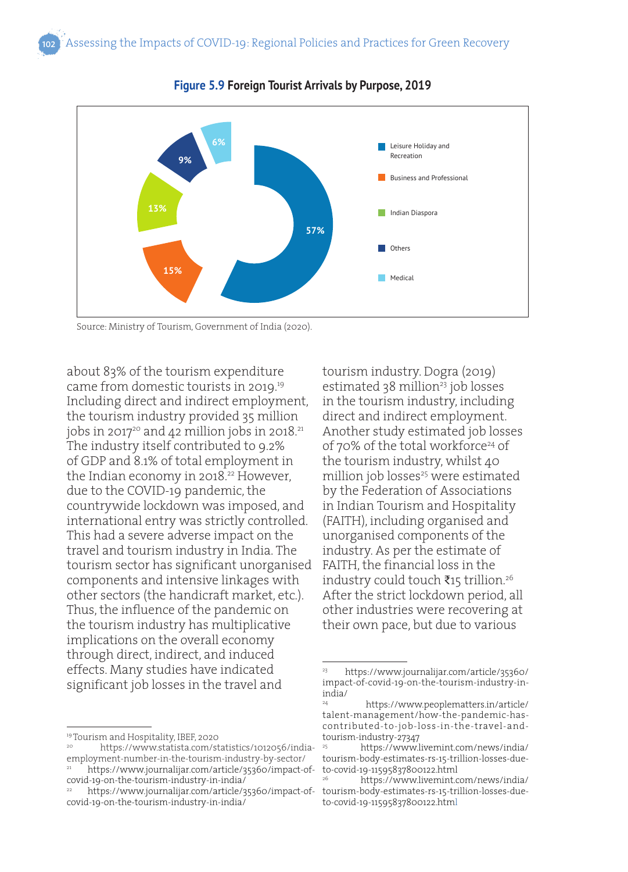

**Figure 5.9 Foreign Tourist Arrivals by Purpose, 2019**

about 83% of the tourism expenditure came from domestic tourists in 2019.<sup>19</sup> Including direct and indirect employment, the tourism industry provided 35 million jobs in 2017 $20$  and 42 million jobs in 2018. $21$ The industry itself contributed to 9.2% of GDP and 8.1% of total employment in the Indian economy in 2018.<sup>22</sup> However, due to the COVID-19 pandemic, the countrywide lockdown was imposed, and international entry was strictly controlled. This had a severe adverse impact on the travel and tourism industry in India. The tourism sector has significant unorganised components and intensive linkages with other sectors (the handicraft market, etc.). Thus, the influence of the pandemic on the tourism industry has multiplicative implications on the overall economy through direct, indirect, and induced effects. Many studies have indicated significant job losses in the travel and

tourism industry. Dogra (2019) estimated 38 million<sup>23</sup> job losses in the tourism industry, including direct and indirect employment. Another study estimated job losses of 70% of the total workforce<sup>24</sup> of the tourism industry, whilst 40 million job losses<sup>25</sup> were estimated by the Federation of Associations in Indian Tourism and Hospitality (FAITH), including organised and unorganised components of the industry. As per the estimate of FAITH, the financial loss in the industry could touch ₹15 trillion.26 After the strict lockdown period, all other industries were recovering at their own pace, but due to various

Source: Ministry of Tourism, Government of India (2020).

<sup>19</sup> Tourism and Hospitality, IBEF, 2020

<sup>20</sup> https://www.statista.com/statistics/1012056/indiaemployment-number-in-the-tourism-industry-by-sector/ https://www.journalijar.com/article/35360/impact-of-

covid-19-on-the-tourism-industry-in-india/

<sup>22</sup> https://www.journalijar.com/article/35360/impact-ofcovid-19-on-the-tourism-industry-in-india/

<sup>23</sup> https://www.journalijar.com/article/35360/ impact-of-covid-19-on-the-tourism-industry-inindia/

<sup>24</sup> https://www.peoplematters.in/article/ talent-management/how-the-pandemic-hascontributed-to-job-loss-in-the-travel-andtourism-industry-27347

<sup>25</sup> https://www.livemint.com/news/india/ tourism-body-estimates-rs-15-trillion-losses-dueto-covid-19-11595837800122.html

<sup>26</sup> https://www.livemint.com/news/india/ tourism-body-estimates-rs-15-trillion-losses-dueto-covid-19-11595837800122.html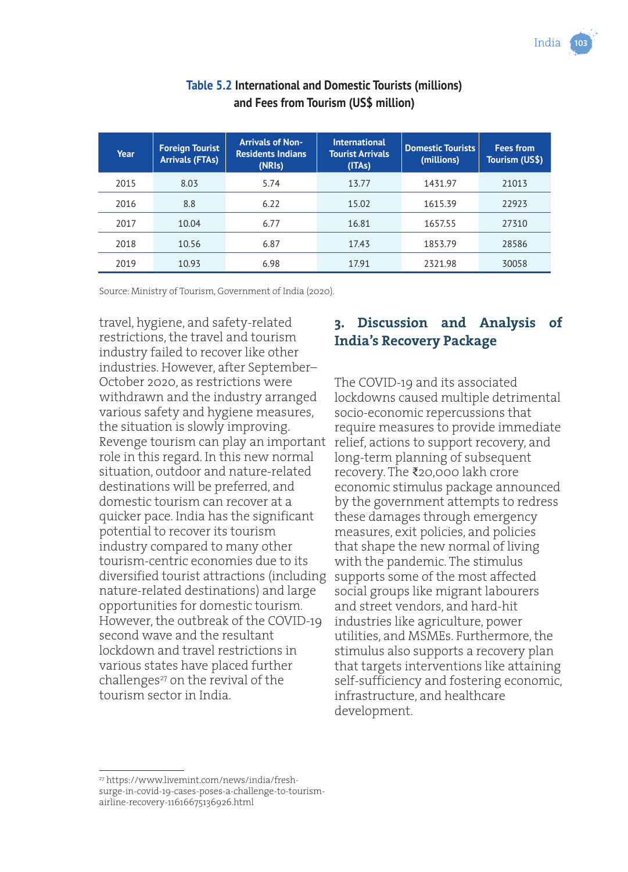| Year | <b>Foreign Tourist</b><br><b>Arrivals (FTAs)</b> | <b>Arrivals of Non-</b><br><b>Residents Indians</b><br>(NRIs) | <b>International</b><br><b>Tourist Arrivals</b><br>(ITAs) | <b>Domestic Tourists</b><br>(millions) | <b>Fees from</b><br>Tourism (US\$) |
|------|--------------------------------------------------|---------------------------------------------------------------|-----------------------------------------------------------|----------------------------------------|------------------------------------|
| 2015 | 8.03                                             | 5.74                                                          | 13.77                                                     | 1431.97                                | 21013                              |
| 2016 | 8.8                                              | 6.22                                                          | 15.02                                                     | 1615.39                                | 22923                              |
| 2017 | 10.04                                            | 6.77                                                          | 16.81                                                     | 1657.55                                | 27310                              |
| 2018 | 10.56                                            | 6.87                                                          | 17.43                                                     | 1853.79                                | 28586                              |
| 2019 | 10.93                                            | 6.98                                                          | 17.91                                                     | 2321.98                                | 30058                              |

#### **Table 5.2 International and Domestic Tourists (millions) and Fees from Tourism (US\$ million)**

Source: Ministry of Tourism, Government of India (2020).

travel, hygiene, and safety-related restrictions, the travel and tourism industry failed to recover like other industries. However, after September– October 2020, as restrictions were withdrawn and the industry arranged various safety and hygiene measures, the situation is slowly improving. Revenge tourism can play an important role in this regard. In this new normal situation, outdoor and nature-related destinations will be preferred, and domestic tourism can recover at a quicker pace. India has the significant potential to recover its tourism industry compared to many other tourism-centric economies due to its diversified tourist attractions (including nature-related destinations) and large opportunities for domestic tourism. However, the outbreak of the COVID-19 second wave and the resultant lockdown and travel restrictions in various states have placed further challenges<sup>27</sup> on the revival of the tourism sector in India.

#### **3. Discussion and Analysis of India's Recovery Package**

The COVID-19 and its associated lockdowns caused multiple detrimental socio-economic repercussions that require measures to provide immediate relief, actions to support recovery, and long-term planning of subsequent recovery. The ₹20,000 lakh crore economic stimulus package announced by the government attempts to redress these damages through emergency measures, exit policies, and policies that shape the new normal of living with the pandemic. The stimulus supports some of the most affected social groups like migrant labourers and street vendors, and hard-hit industries like agriculture, power utilities, and MSMEs. Furthermore, the stimulus also supports a recovery plan that targets interventions like attaining self-sufficiency and fostering economic, infrastructure, and healthcare development.

<sup>27</sup> https://www.livemint.com/news/india/freshsurge-in-covid-19-cases-poses-a-challenge-to-tourismairline-recovery-11616675136926.html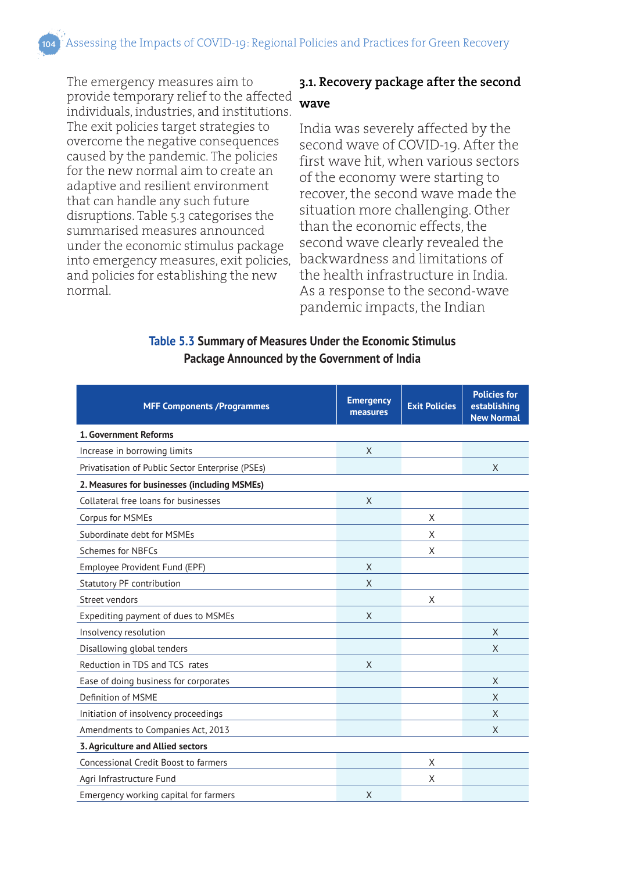Assessing the Impacts of COVID-19: Regional Policies and Practices for Green Recovery

The emergency measures aim to provide temporary relief to the affected individuals, industries, and institutions. The exit policies target strategies to overcome the negative consequences caused by the pandemic. The policies for the new normal aim to create an adaptive and resilient environment that can handle any such future disruptions. Table 5.3 categorises the summarised measures announced under the economic stimulus package into emergency measures, exit policies, and policies for establishing the new normal.

#### **3.1. Recovery package after the second wave**

India was severely affected by the second wave of COVID-19. After the first wave hit, when various sectors of the economy were starting to recover, the second wave made the situation more challenging. Other than the economic effects, the second wave clearly revealed the backwardness and limitations of the health infrastructure in India. As a response to the second-wave pandemic impacts, the Indian

#### **Table 5.3 Summary of Measures Under the Economic Stimulus Package Announced by the Government of India**

| <b>MFF Components /Programmes</b>                | <b>Emergency</b><br>measures | <b>Exit Policies</b> | <b>Policies for</b><br>establishing<br><b>New Normal</b> |  |  |
|--------------------------------------------------|------------------------------|----------------------|----------------------------------------------------------|--|--|
| 1. Government Reforms                            |                              |                      |                                                          |  |  |
| Increase in borrowing limits                     | X                            |                      |                                                          |  |  |
| Privatisation of Public Sector Enterprise (PSEs) |                              |                      | X                                                        |  |  |
| 2. Measures for businesses (including MSMEs)     |                              |                      |                                                          |  |  |
| Collateral free loans for businesses             | X                            |                      |                                                          |  |  |
| Corpus for MSMEs                                 |                              | X                    |                                                          |  |  |
| Subordinate debt for MSMEs                       |                              | X                    |                                                          |  |  |
| Schemes for NBFCs                                |                              | X                    |                                                          |  |  |
| Employee Provident Fund (EPF)                    | X                            |                      |                                                          |  |  |
| Statutory PF contribution                        | X                            |                      |                                                          |  |  |
| Street vendors                                   |                              | X                    |                                                          |  |  |
| Expediting payment of dues to MSMEs              | X                            |                      |                                                          |  |  |
| Insolvency resolution                            |                              |                      | X                                                        |  |  |
| Disallowing global tenders                       |                              |                      | X                                                        |  |  |
| Reduction in TDS and TCS rates                   | X                            |                      |                                                          |  |  |
| Ease of doing business for corporates            |                              |                      | X                                                        |  |  |
| Definition of MSME                               |                              |                      | X                                                        |  |  |
| Initiation of insolvency proceedings             |                              |                      | X                                                        |  |  |
| Amendments to Companies Act, 2013                |                              |                      | X                                                        |  |  |
| 3. Agriculture and Allied sectors                |                              |                      |                                                          |  |  |
| Concessional Credit Boost to farmers             |                              | X                    |                                                          |  |  |
| Agri Infrastructure Fund                         |                              | X                    |                                                          |  |  |
| Emergency working capital for farmers            | X                            |                      |                                                          |  |  |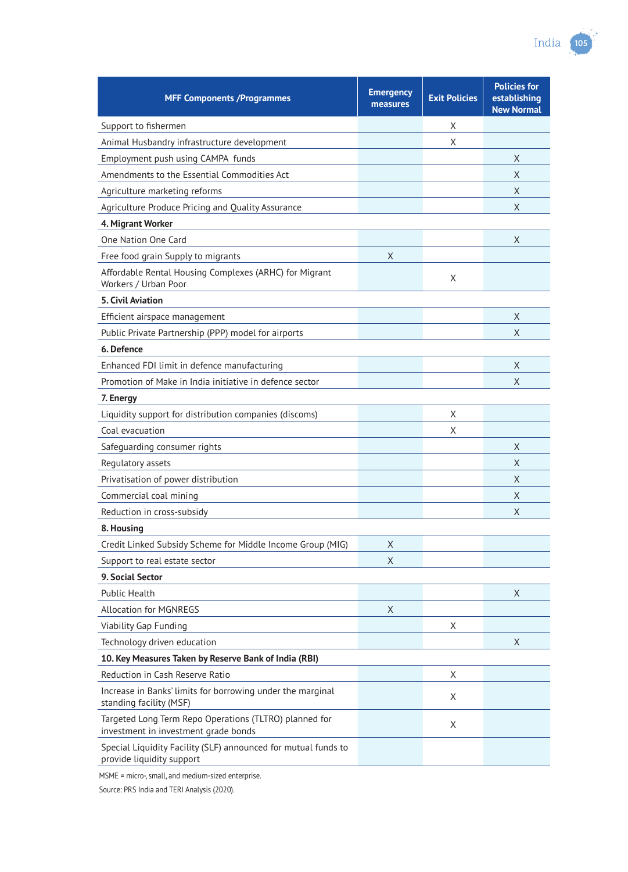| <b>MFF Components /Programmes</b>                                                              | <b>Emergency</b><br>measures | <b>Exit Policies</b> | <b>Policies for</b><br>establishing<br><b>New Normal</b> |  |  |
|------------------------------------------------------------------------------------------------|------------------------------|----------------------|----------------------------------------------------------|--|--|
| Support to fishermen                                                                           |                              | X                    |                                                          |  |  |
| Animal Husbandry infrastructure development                                                    |                              | X                    |                                                          |  |  |
| Employment push using CAMPA funds                                                              |                              |                      | X                                                        |  |  |
| Amendments to the Essential Commodities Act                                                    |                              |                      | X                                                        |  |  |
| Agriculture marketing reforms                                                                  |                              |                      | X                                                        |  |  |
| Agriculture Produce Pricing and Quality Assurance                                              |                              |                      | X                                                        |  |  |
| 4. Migrant Worker                                                                              |                              |                      |                                                          |  |  |
| One Nation One Card                                                                            |                              |                      | X                                                        |  |  |
| Free food grain Supply to migrants                                                             | Χ                            |                      |                                                          |  |  |
| Affordable Rental Housing Complexes (ARHC) for Migrant<br>Workers / Urban Poor                 |                              | X                    |                                                          |  |  |
| <b>5. Civil Aviation</b>                                                                       |                              |                      |                                                          |  |  |
| Efficient airspace management                                                                  |                              |                      | X                                                        |  |  |
| Public Private Partnership (PPP) model for airports                                            |                              |                      | X                                                        |  |  |
| 6. Defence                                                                                     |                              |                      |                                                          |  |  |
| Enhanced FDI limit in defence manufacturing                                                    |                              |                      | X                                                        |  |  |
| Promotion of Make in India initiative in defence sector                                        |                              |                      | X                                                        |  |  |
| 7. Energy                                                                                      |                              |                      |                                                          |  |  |
| Liquidity support for distribution companies (discoms)                                         |                              | X                    |                                                          |  |  |
| Coal evacuation                                                                                |                              | X                    |                                                          |  |  |
| Safeguarding consumer rights                                                                   |                              |                      | Χ                                                        |  |  |
| Regulatory assets                                                                              |                              |                      | X                                                        |  |  |
| Privatisation of power distribution                                                            |                              |                      | X                                                        |  |  |
| Commercial coal mining                                                                         |                              |                      | X                                                        |  |  |
| Reduction in cross-subsidy                                                                     |                              |                      | X                                                        |  |  |
| 8. Housing                                                                                     |                              |                      |                                                          |  |  |
| Credit Linked Subsidy Scheme for Middle Income Group (MIG)                                     | X                            |                      |                                                          |  |  |
| Support to real estate sector                                                                  | X                            |                      |                                                          |  |  |
| 9. Social Sector                                                                               |                              |                      |                                                          |  |  |
| <b>Public Health</b>                                                                           |                              |                      | X                                                        |  |  |
| <b>Allocation for MGNREGS</b>                                                                  | Χ                            |                      |                                                          |  |  |
| Viability Gap Funding                                                                          |                              | Χ                    |                                                          |  |  |
| Technology driven education                                                                    |                              |                      | X                                                        |  |  |
| 10. Key Measures Taken by Reserve Bank of India (RBI)                                          |                              |                      |                                                          |  |  |
| Reduction in Cash Reserve Ratio                                                                |                              | X                    |                                                          |  |  |
| Increase in Banks' limits for borrowing under the marginal<br>standing facility (MSF)          |                              | Χ                    |                                                          |  |  |
| Targeted Long Term Repo Operations (TLTRO) planned for<br>investment in investment grade bonds |                              | Χ                    |                                                          |  |  |
| Special Liquidity Facility (SLF) announced for mutual funds to<br>provide liquidity support    |                              |                      |                                                          |  |  |

MSME = micro-, small, and medium-sized enterprise.

Source: PRS India and TERI Analysis (2020).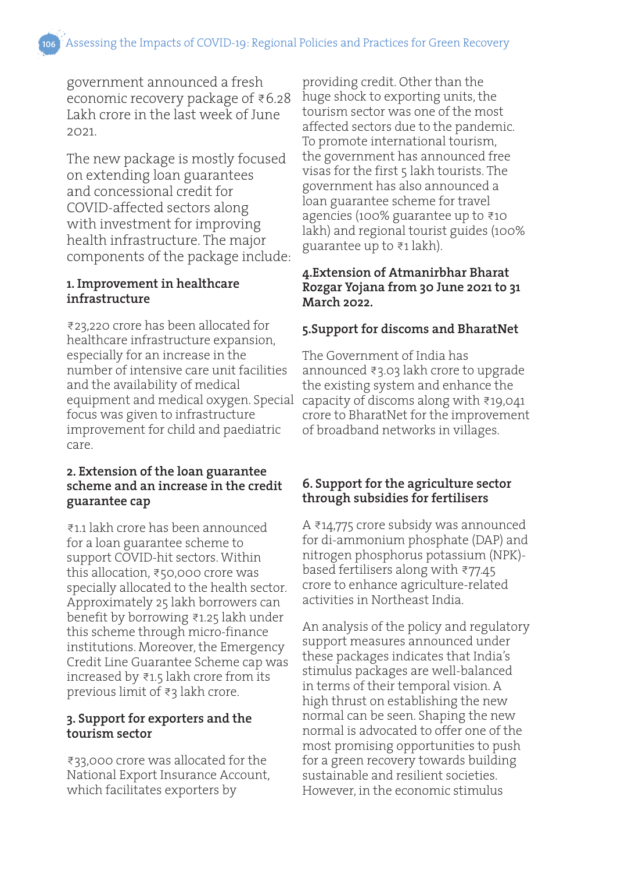government announced a fresh economic recovery package of ₹6.28 Lakh crore in the last week of June 2021.

The new package is mostly focused on extending loan guarantees and concessional credit for COVID-affected sectors along with investment for improving health infrastructure. The major components of the package include:

#### **1. Improvement in healthcare infrastructure**

₹23,220 crore has been allocated for healthcare infrastructure expansion, especially for an increase in the number of intensive care unit facilities and the availability of medical equipment and medical oxygen. Special capacity of discoms along with ₹19,041 focus was given to infrastructure improvement for child and paediatric care.

#### **2. Extension of the loan guarantee scheme and an increase in the credit guarantee cap**

₹1.1 lakh crore has been announced for a loan guarantee scheme to support COVID-hit sectors. Within this allocation, ₹50,000 crore was specially allocated to the health sector. Approximately 25 lakh borrowers can benefit by borrowing ₹1.25 lakh under this scheme through micro-finance institutions. Moreover, the Emergency Credit Line Guarantee Scheme cap was increased by ₹1.5 lakh crore from its previous limit of ₹3 lakh crore.

#### **3. Support for exporters and the tourism sector**

₹33,000 crore was allocated for the National Export Insurance Account, which facilitates exporters by

providing credit. Other than the huge shock to exporting units, the tourism sector was one of the most affected sectors due to the pandemic. To promote international tourism, the government has announced free visas for the first 5 lakh tourists. The government has also announced a loan guarantee scheme for travel agencies (100% guarantee up to ₹10 lakh) and regional tourist guides (100% guarantee up to ₹1 lakh).

#### **4.Extension of Atmanirbhar Bharat Rozgar Yojana from 30 June 2021 to 31 March 2022.**

#### **5.Support for discoms and BharatNet**

The Government of India has announced ₹3.03 lakh crore to upgrade the existing system and enhance the crore to BharatNet for the improvement of broadband networks in villages.

#### **6. Support for the agriculture sector through subsidies for fertilisers**

A ₹14,775 crore subsidy was announced for di-ammonium phosphate (DAP) and nitrogen phosphorus potassium (NPK) based fertilisers along with ₹77.45 crore to enhance agriculture-related activities in Northeast India.

An analysis of the policy and regulatory support measures announced under these packages indicates that India's stimulus packages are well-balanced in terms of their temporal vision. A high thrust on establishing the new normal can be seen. Shaping the new normal is advocated to offer one of the most promising opportunities to push for a green recovery towards building sustainable and resilient societies. However, in the economic stimulus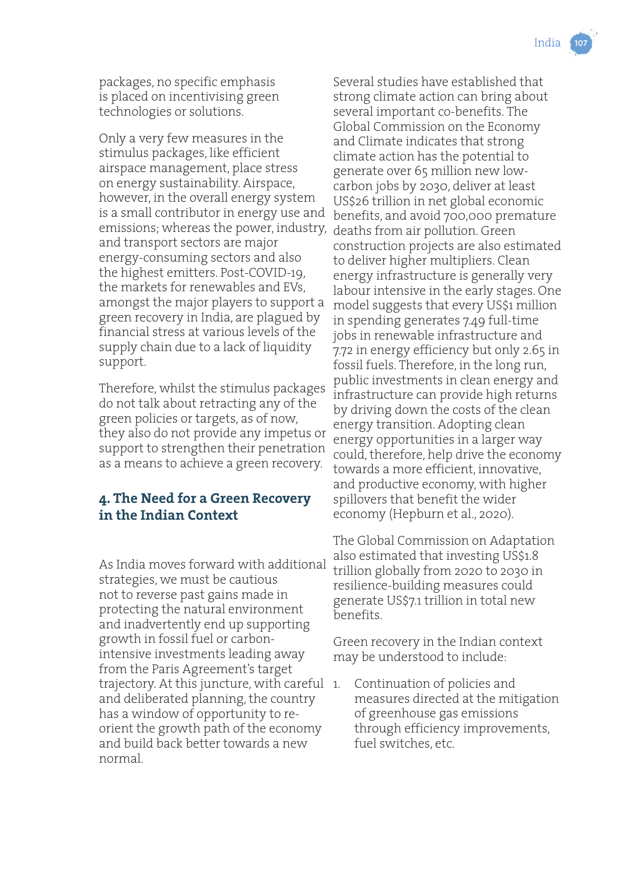packages, no specific emphasis is placed on incentivising green technologies or solutions.

Only a very few measures in the stimulus packages, like efficient airspace management, place stress on energy sustainability. Airspace, however, in the overall energy system is a small contributor in energy use and emissions; whereas the power, industry, deaths from air pollution. Green and transport sectors are major energy-consuming sectors and also the highest emitters. Post-COVID-19, the markets for renewables and EVs, amongst the major players to support a green recovery in India, are plagued by financial stress at various levels of the supply chain due to a lack of liquidity support.

Therefore, whilst the stimulus packages do not talk about retracting any of the green policies or targets, as of now, they also do not provide any impetus or support to strengthen their penetration as a means to achieve a green recovery.

#### **4. The Need for a Green Recovery in the Indian Context**

As India moves forward with additional strategies, we must be cautious not to reverse past gains made in protecting the natural environment and inadvertently end up supporting growth in fossil fuel or carbonintensive investments leading away from the Paris Agreement's target trajectory. At this juncture, with careful and deliberated planning, the country has a window of opportunity to reorient the growth path of the economy and build back better towards a new normal.

Several studies have established that strong climate action can bring about several important co-benefits. The Global Commission on the Economy and Climate indicates that strong climate action has the potential to generate over 65 million new lowcarbon jobs by 2030, deliver at least US\$26 trillion in net global economic benefits, and avoid 700,000 premature construction projects are also estimated to deliver higher multipliers. Clean energy infrastructure is generally very labour intensive in the early stages. One model suggests that every US\$1 million in spending generates 7.49 full-time jobs in renewable infrastructure and 7.72 in energy efficiency but only 2.65 in fossil fuels. Therefore, in the long run, public investments in clean energy and infrastructure can provide high returns by driving down the costs of the clean energy transition. Adopting clean energy opportunities in a larger way could, therefore, help drive the economy towards a more efficient, innovative, and productive economy, with higher spillovers that benefit the wider economy (Hepburn et al., 2020).

The Global Commission on Adaptation also estimated that investing US\$1.8 trillion globally from 2020 to 2030 in resilience-building measures could generate US\$7.1 trillion in total new benefits.

Green recovery in the Indian context may be understood to include:

Continuation of policies and measures directed at the mitigation of greenhouse gas emissions through efficiency improvements, fuel switches, etc.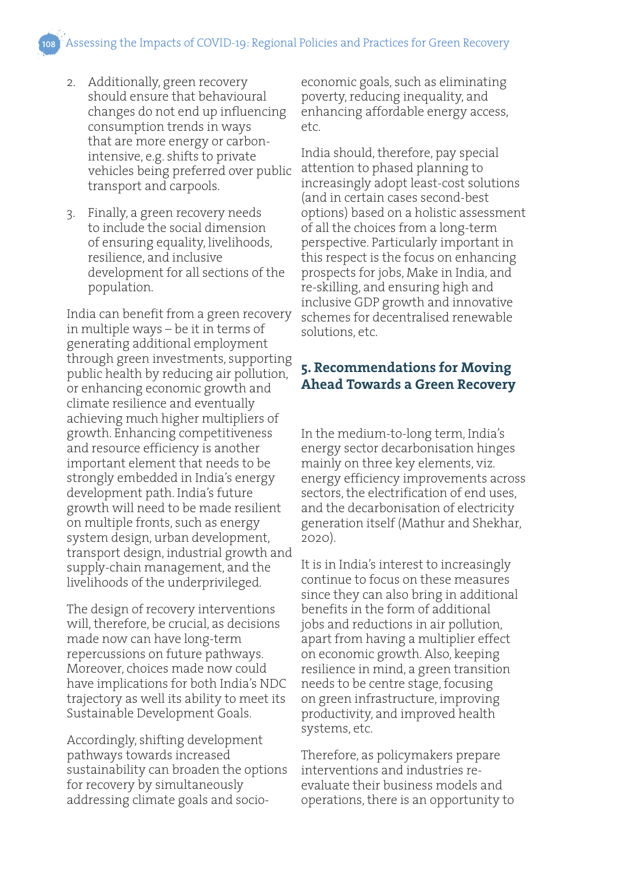Assessing the Impacts of COVID-19: Regional Policies and Practices for Green Recovery

- 2. Additionally, green recovery should ensure that behavioural changes do not end up influencing consumption trends in ways that are more energy or carbonintensive, e.g. shifts to private vehicles being preferred over public transport and carpools.
- 3. Finally, a green recovery needs to include the social dimension of ensuring equality, livelihoods, resilience, and inclusive development for all sections of the population.

India can benefit from a green recovery in multiple ways – be it in terms of generating additional employment through green investments, supporting public health by reducing air pollution, or enhancing economic growth and climate resilience and eventually achieving much higher multipliers of growth. Enhancing competitiveness and resource efficiency is another important element that needs to be strongly embedded in India's energy development path. India's future growth will need to be made resilient on multiple fronts, such as energy system design, urban development, transport design, industrial growth and supply-chain management, and the livelihoods of the underprivileged.

The design of recovery interventions will, therefore, be crucial, as decisions made now can have long-term repercussions on future pathways. Moreover, choices made now could have implications for both India's NDC trajectory as well its ability to meet its Sustainable Development Goals.

Accordingly, shifting development pathways towards increased sustainability can broaden the options for recovery by simultaneously addressing climate goals and socioeconomic goals, such as eliminating poverty, reducing inequality, and enhancing affordable energy access, etc.

India should, therefore, pay special attention to phased planning to increasingly adopt least-cost solutions (and in certain cases second-best options) based on a holistic assessment of all the choices from a long-term perspective. Particularly important in this respect is the focus on enhancing prospects for jobs, Make in India, and re-skilling, and ensuring high and inclusive GDP growth and innovative schemes for decentralised renewable solutions, etc.

#### **5. Recommendations for Moving Ahead Towards a Green Recovery**

In the medium-to-long term, India's energy sector decarbonisation hinges mainly on three key elements, viz. energy efficiency improvements across sectors, the electrification of end uses, and the decarbonisation of electricity generation itself (Mathur and Shekhar, 2020).

It is in India's interest to increasingly continue to focus on these measures since they can also bring in additional benefits in the form of additional jobs and reductions in air pollution, apart from having a multiplier effect on economic growth. Also, keeping resilience in mind, a green transition needs to be centre stage, focusing on green infrastructure, improving productivity, and improved health systems, etc.

Therefore, as policymakers prepare interventions and industries reevaluate their business models and operations, there is an opportunity to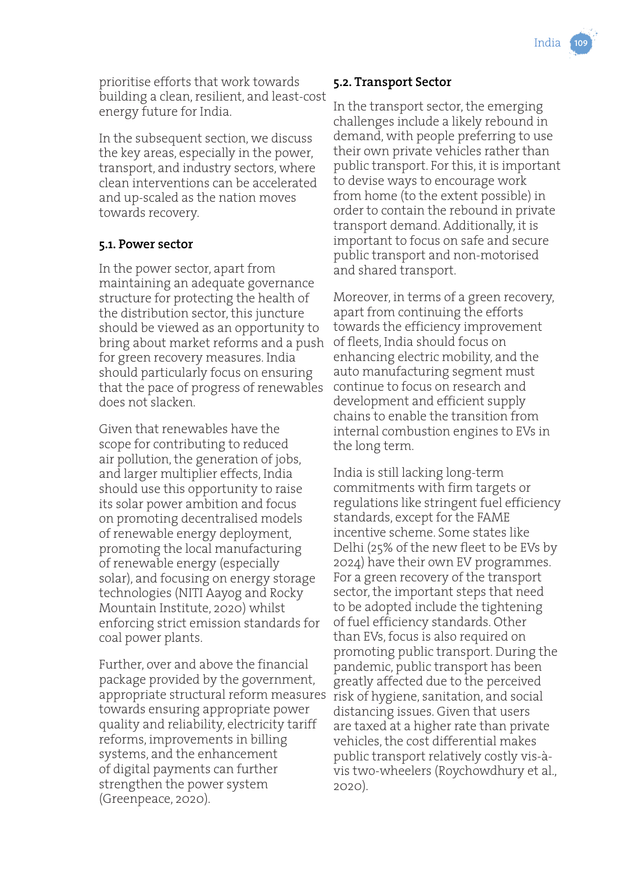prioritise efforts that work towards building a clean, resilient, and least-cost energy future for India.

In the subsequent section, we discuss the key areas, especially in the power, transport, and industry sectors, where clean interventions can be accelerated and up-scaled as the nation moves towards recovery.

#### **5.1. Power sector**

In the power sector, apart from maintaining an adequate governance structure for protecting the health of the distribution sector, this juncture should be viewed as an opportunity to bring about market reforms and a push for green recovery measures. India should particularly focus on ensuring that the pace of progress of renewables does not slacken.

Given that renewables have the scope for contributing to reduced air pollution, the generation of jobs, and larger multiplier effects, India should use this opportunity to raise its solar power ambition and focus on promoting decentralised models of renewable energy deployment, promoting the local manufacturing of renewable energy (especially solar), and focusing on energy storage technologies (NITI Aayog and Rocky Mountain Institute, 2020) whilst enforcing strict emission standards for coal power plants.

Further, over and above the financial package provided by the government, appropriate structural reform measures towards ensuring appropriate power quality and reliability, electricity tariff reforms, improvements in billing systems, and the enhancement of digital payments can further strengthen the power system (Greenpeace, 2020).

#### **5.2. Transport Sector**

In the transport sector, the emerging challenges include a likely rebound in demand, with people preferring to use their own private vehicles rather than public transport. For this, it is important to devise ways to encourage work from home (to the extent possible) in order to contain the rebound in private transport demand. Additionally, it is important to focus on safe and secure public transport and non-motorised and shared transport.

Moreover, in terms of a green recovery, apart from continuing the efforts towards the efficiency improvement of fleets, India should focus on enhancing electric mobility, and the auto manufacturing segment must continue to focus on research and development and efficient supply chains to enable the transition from internal combustion engines to EVs in the long term.

India is still lacking long-term commitments with firm targets or regulations like stringent fuel efficiency standards, except for the FAME incentive scheme. Some states like Delhi (25% of the new fleet to be EVs by 2024) have their own EV programmes. For a green recovery of the transport sector, the important steps that need to be adopted include the tightening of fuel efficiency standards. Other than EVs, focus is also required on promoting public transport. During the pandemic, public transport has been greatly affected due to the perceived risk of hygiene, sanitation, and social distancing issues. Given that users are taxed at a higher rate than private vehicles, the cost differential makes public transport relatively costly vis-àvis two-wheelers (Roychowdhury et al., 2020).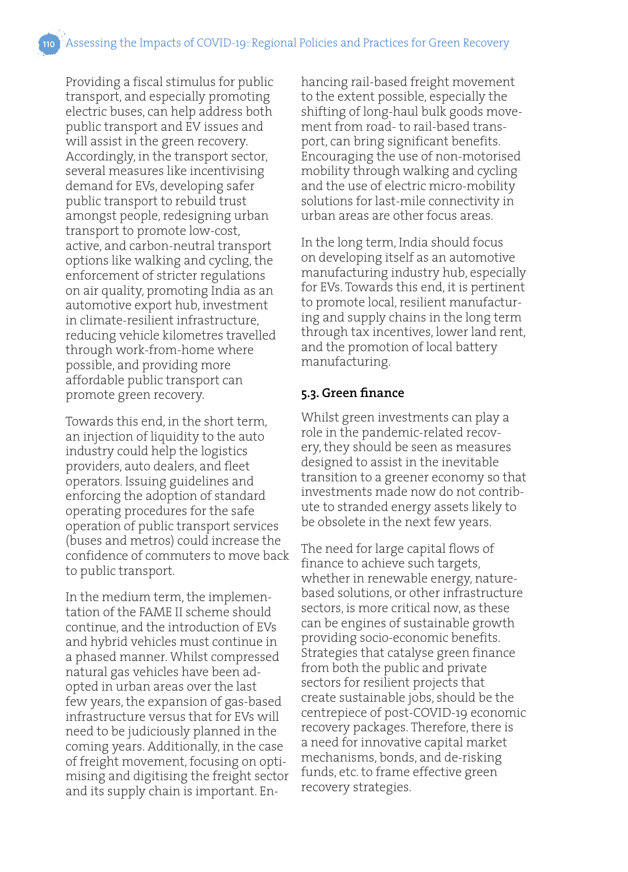Providing a fiscal stimulus for public transport, and especially promoting electric buses, can help address both public transport and EV issues and will assist in the green recovery. Accordingly, in the transport sector, several measures like incentivising demand for EVs, developing safer public transport to rebuild trust amongst people, redesigning urban transport to promote low-cost, active, and carbon-neutral transport options like walking and cycling, the enforcement of stricter regulations on air quality, promoting India as an automotive export hub, investment in climate-resilient infrastructure, reducing vehicle kilometres travelled through work-from-home where possible, and providing more affordable public transport can promote green recovery.

Towards this end, in the short term, an injection of liquidity to the auto industry could help the logistics providers, auto dealers, and fleet operators. Issuing guidelines and enforcing the adoption of standard operating procedures for the safe operation of public transport services (buses and metros) could increase the confidence of commuters to move back to public transport.

In the medium term, the implementation of the FAME II scheme should continue, and the introduction of EVs and hybrid vehicles must continue in a phased manner. Whilst compressed natural gas vehicles have been adopted in urban areas over the last few years, the expansion of gas-based infrastructure versus that for EVs will need to be judiciously planned in the coming years. Additionally, in the case of freight movement, focusing on optimising and digitising the freight sector and its supply chain is important. Enhancing rail-based freight movement to the extent possible, especially the shifting of long-haul bulk goods movement from road- to rail-based transport, can bring significant benefits. Encouraging the use of non-motorised mobility through walking and cycling and the use of electric micro-mobility solutions for last-mile connectivity in urban areas are other focus areas.

In the long term, India should focus on developing itself as an automotive manufacturing industry hub, especially for EVs. Towards this end, it is pertinent to promote local, resilient manufacturing and supply chains in the long term through tax incentives, lower land rent, and the promotion of local battery manufacturing.

#### **5.3. Green finance**

Whilst green investments can play a role in the pandemic-related recovery, they should be seen as measures designed to assist in the inevitable transition to a greener economy so that investments made now do not contribute to stranded energy assets likely to be obsolete in the next few years.

The need for large capital flows of finance to achieve such targets, whether in renewable energy, naturebased solutions, or other infrastructure sectors, is more critical now, as these can be engines of sustainable growth providing socio-economic benefits. Strategies that catalyse green finance from both the public and private sectors for resilient projects that create sustainable jobs, should be the centrepiece of post-COVID-19 economic recovery packages. Therefore, there is a need for innovative capital market mechanisms, bonds, and de-risking funds, etc. to frame effective green recovery strategies.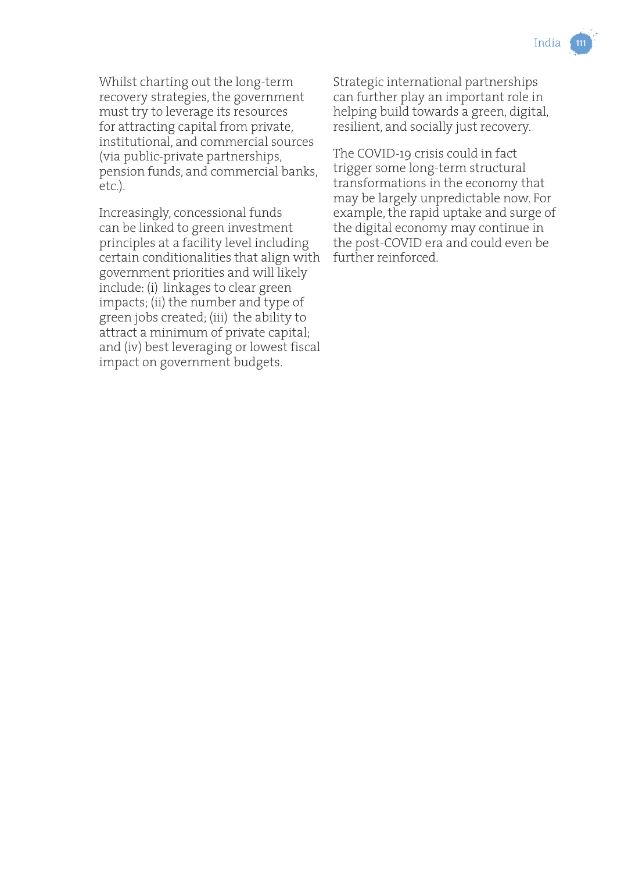Whilst charting out the long-term recovery strategies, the government must try to leverage its resources for attracting capital from private, institutional, and commercial sources (via public-private partnerships, pension funds, and commercial banks, etc.).

Increasingly, concessional funds can be linked to green investment principles at a facility level including certain conditionalities that align with government priorities and will likely include: (i) linkages to clear green impacts; (ii) the number and type of green jobs created; (iii) the ability to attract a minimum of private capital; and (iv) best leveraging or lowest fiscal impact on government budgets.

Strategic international partnerships can further play an important role in helping build towards a green, digital, resilient, and socially just recovery.

The COVID-19 crisis could in fact trigger some long-term structural transformations in the economy that may be largely unpredictable now. For example, the rapid uptake and surge of the digital economy may continue in the post-COVID era and could even be further reinforced.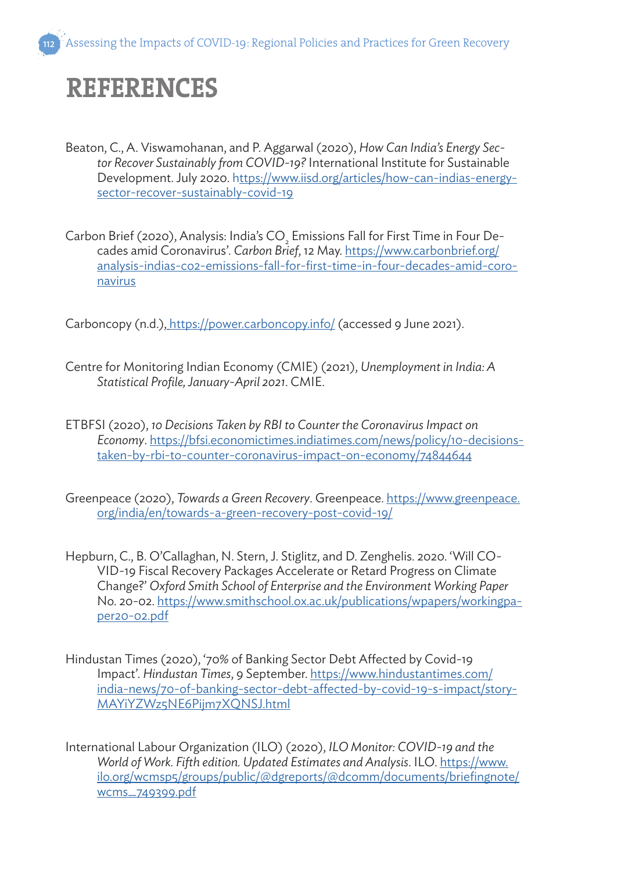## **REFERENCES**

- Beaton, C., A. Viswamohanan, and P. Aggarwal (2020), *How Can India's Energy Sector Recover Sustainably from COVID-19?* International Institute for Sustainable Development. July 2020. https://www.iisd.org/articles/how-can-indias-energysector-recover-sustainably-covid-19
- Carbon Brief (2020), Analysis: India's  $\mathsf{CO}_\mathsf{2}$  Emissions Fall for First Time in Four Decades amid Coronavirus'. *Carbon Brief*, 12 May. https://www.carbonbrief.org/ analysis-indias-co2-emissions-fall-for-first-time-in-four-decades-amid-coronavirus

Carboncopy (n.d.), https://power.carboncopy.info/ (accessed 9 June 2021).

- Centre for Monitoring Indian Economy (CMIE) (2021), *Unemployment in India: A Statistical Profile, January-April 2021*. CMIE.
- ETBFSI (2020), *10 Decisions Taken by RBI to Counter the Coronavirus Impact on Economy*. https://bfsi.economictimes.indiatimes.com/news/policy/10-decisionstaken-by-rbi-to-counter-coronavirus-impact-on-economy/74844644
- Greenpeace (2020), *Towards a Green Recovery*. Greenpeace. https://www.greenpeace. org/india/en/towards-a-green-recovery-post-covid-19/
- Hepburn, C., B. O'Callaghan, N. Stern, J. Stiglitz, and D. Zenghelis. 2020. 'Will CO-VID-19 Fiscal Recovery Packages Accelerate or Retard Progress on Climate Change?' *Oxford Smith School of Enterprise and the Environment Working Paper* No. 20-02. https://www.smithschool.ox.ac.uk/publications/wpapers/workingpaper20-02.pdf
- Hindustan Times (2020), '70% of Banking Sector Debt Affected by Covid-19 Impact'. *Hindustan Times*, 9 September. https://www.hindustantimes.com/ india-news/70-of-banking-sector-debt-affected-by-covid-19-s-impact/story-MAYiYZWz5NE6Pijm7XQNSJ.html
- International Labour Organization (ILO) (2020), *ILO Monitor: COVID-19 and the World of Work. Fifth edition. Updated Estimates and Analysis*. ILO. https://www. ilo.org/wcmsp5/groups/public/@dgreports/@dcomm/documents/briefingnote/ wcms\_749399.pdf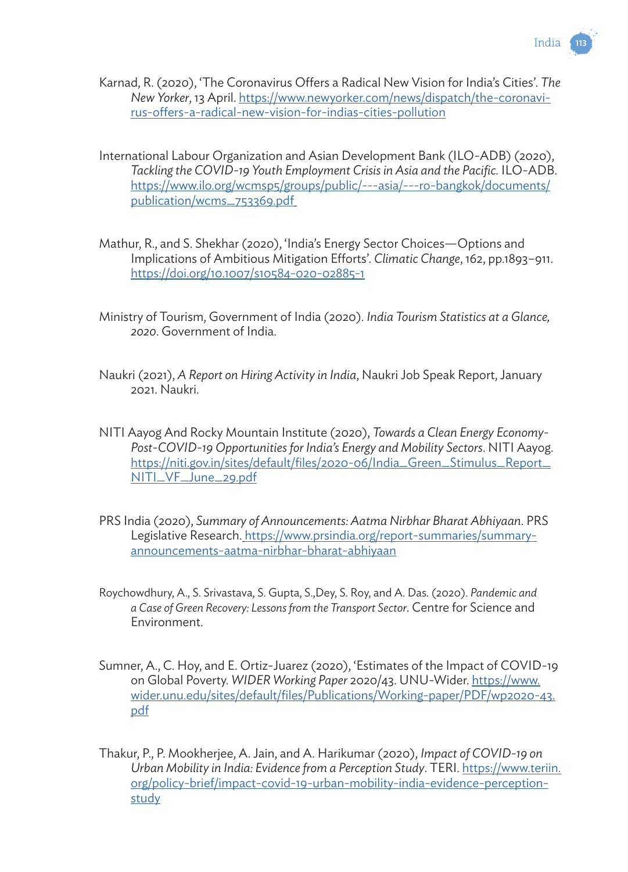

India

- International Labour Organization and Asian Development Bank (ILO-ADB) (2020), *Tackling the COVID-19 Youth Employment Crisis in Asia and the Pacific.* ILO-ADB. https://www.ilo.org/wcmsp5/groups/public/---asia/---ro-bangkok/documents/ publication/wcms\_753369.pdf
- Mathur, R., and S. Shekhar (2020), 'India's Energy Sector Choices—Options and Implications of Ambitious Mitigation Efforts'. *Climatic Change*, 162, pp.1893–911. https://doi.org/10.1007/s10584-020-02885-1
- Ministry of Tourism, Government of India (2020). *India Tourism Statistics at a Glance, 2020*. Government of India.
- Naukri (2021), *A Report on Hiring Activity in India*, Naukri Job Speak Report, January 2021. Naukri.
- NITI Aayog And Rocky Mountain Institute (2020), *Towards a Clean Energy Economy-Post-COVID-19 Opportunities for India's Energy and Mobility Sectors*. NITI Aayog. https://niti.gov.in/sites/default/files/2020-06/India\_Green\_Stimulus\_Report\_ NITI\_VF\_June\_29.pdf
- PRS India (2020), *Summary of Announcements: Aatma Nirbhar Bharat Abhiyaan*. PRS Legislative Research. https://www.prsindia.org/report-summaries/summaryannouncements-aatma-nirbhar-bharat-abhiyaan
- Roychowdhury, A., S. Srivastava, S. Gupta, S.,Dey, S. Roy, and A. Das. (2020). *Pandemic and a Case of Green Recovery: Lessons from the Transport Sector*. Centre for Science and Environment.
- Sumner, A., C. Hoy, and E. Ortiz-Juarez (2020), 'Estimates of the Impact of COVID-19 on Global Poverty. *WIDER Working Paper* 2020/43. UNU-Wider. https://www. wider.unu.edu/sites/default/files/Publications/Working-paper/PDF/wp2020-43. pdf
- Thakur, P., P. Mookherjee, A. Jain, and A. Harikumar (2020), *Impact of COVID-19 on Urban Mobility in India: Evidence from a Perception Study*. TERI. https://www.teriin. org/policy-brief/impact-covid-19-urban-mobility-india-evidence-perceptionstudy